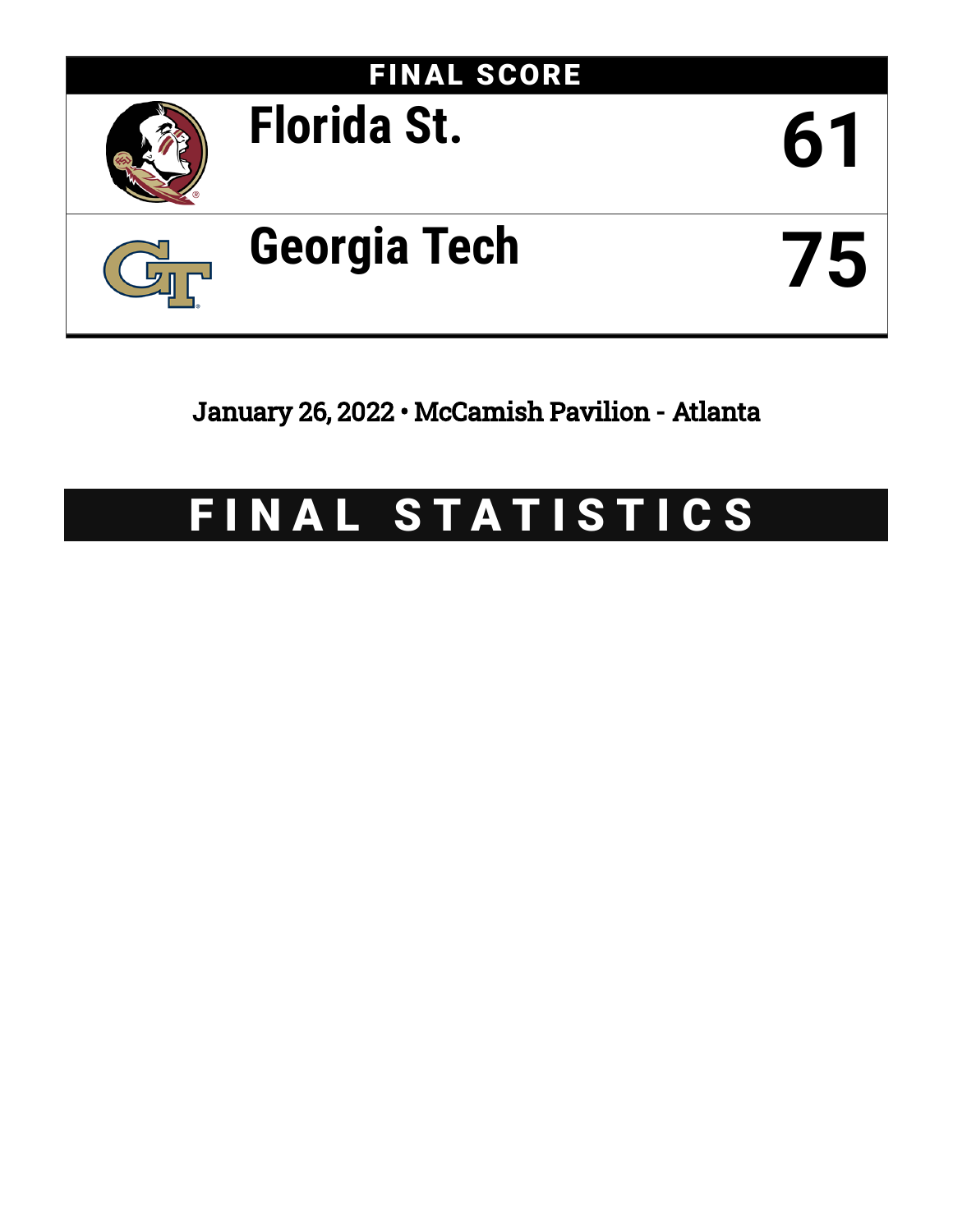

January 26, 2022 • McCamish Pavilion - Atlanta

# FINAL STATISTICS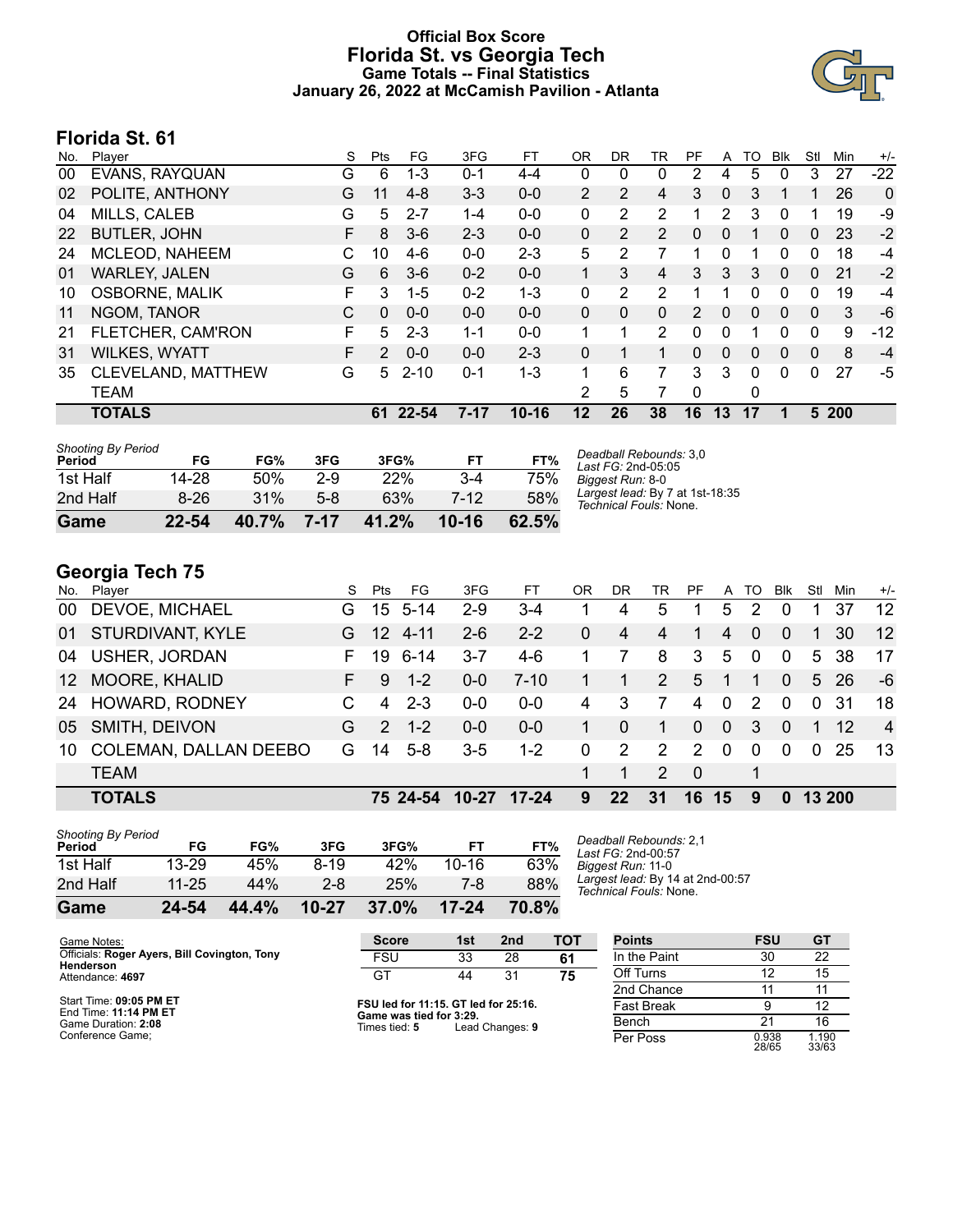# **Official Box Score Florida St. vs Georgia Tech Game Totals -- Final Statistics January 26, 2022 at McCamish Pavilion - Atlanta**



# **Florida St. 61**

| No. | Player                | S | Pts           | FG        | 3FG      | FT        | 0R          | <b>DR</b> | TR             | PF            | A            | TO       | <b>Blk</b> | Stl          | Min   | $+/-$ |
|-----|-----------------------|---|---------------|-----------|----------|-----------|-------------|-----------|----------------|---------------|--------------|----------|------------|--------------|-------|-------|
| 00  | EVANS, RAYQUAN        | G | 6             | 1-3       | $0 - 1$  | $4 - 4$   | 0           | 0         | 0              | 2             | 4            | 5        | $\Omega$   | 3            | 27    | $-22$ |
| 02  | POLITE, ANTHONY       | G | 11            | $4 - 8$   | $3 - 3$  | $0 - 0$   | 2           | 2         | 4              | 3             | $\mathbf{0}$ | 3        |            | 1            | 26    | 0     |
| 04  | MILLS, CALEB          | G | 5             | $2 - 7$   | $1 - 4$  | $0-0$     | 0           | 2         | 2              |               | 2            | 3        | 0          |              | 19    | -9    |
| 22  | <b>BUTLER, JOHN</b>   | F | 8             | $3-6$     | $2 - 3$  | $0 - 0$   | 0           | 2         | $\overline{2}$ | 0             | 0            |          | 0          | 0            | 23    | $-2$  |
| 24  | MCLEOD, NAHEEM        | C | 10            | $4-6$     | $0 - 0$  | $2 - 3$   | 5           | 2         | 7              | 1             | 0            | 1        | 0          | 0            | 18    | $-4$  |
| 01  | <b>WARLEY, JALEN</b>  | G | 6             | $3-6$     | $0 - 2$  | $0 - 0$   | $\mathbf 1$ | 3         | 4              | 3             | 3            | 3        | $\Omega$   | $\mathbf{0}$ | 21    | $-2$  |
| 10  | <b>OSBORNE, MALIK</b> | F | 3             | $1 - 5$   | $0 - 2$  | 1-3       | 0           | 2         | 2              |               |              | $\Omega$ | 0          | $\Omega$     | 19    | -4    |
| 11  | NGOM, TANOR           | C | $\Omega$      | $0 - 0$   | $0 - 0$  | $0 - 0$   | $\Omega$    | $\Omega$  | $\Omega$       | $\mathcal{P}$ | 0            | $\Omega$ | $\Omega$   | 0            | 3     | -6    |
| 21  | FLETCHER, CAM'RON     | F | 5             | $2 - 3$   | $1 - 1$  | $0 - 0$   |             | 1         | 2              | $\Omega$      | 0            |          | 0          | 0            | 9     | $-12$ |
| 31  | <b>WILKES, WYATT</b>  | F | $\mathcal{P}$ | $0 - 0$   | $0 - 0$  | $2 - 3$   | 0           | 1         | 1              | 0             | 0            | $\Omega$ | $\Omega$   | $\mathbf{0}$ | 8     | $-4$  |
| 35  | CLEVELAND, MATTHEW    | G | 5             | $2 - 10$  | $0 - 1$  | 1-3       | 1           | 6         | 7              | 3             | 3            | 0        | $\Omega$   | 0            | 27    | $-5$  |
|     | <b>TEAM</b>           |   |               |           |          |           | 2           | 5         | 7              | $\mathbf{0}$  |              | 0        |            |              |       |       |
|     | <b>TOTALS</b>         |   | 61            | $22 - 54$ | $7 - 17$ | $10 - 16$ | 12          | 26        | 38             | 16            | 13           | 17       |            |              | 5 200 |       |

| 1st Half | 14-28    | 50%   | $2-9$    | 22%   | $3 - 4$   | 75%   |
|----------|----------|-------|----------|-------|-----------|-------|
| 2nd Half | $8 - 26$ | 31%   | $5-8$    | 63%   | 7-12      | 58%   |
| Game     | 22-54    | 40.7% | $7 - 17$ | 41.2% | $10 - 16$ | 62.5% |

*Deadball Rebounds:* 3,0 *Last FG:* 2nd-05:05 *Biggest Run:* 8-0 *Largest lead:* By 7 at 1st-18:35 *Technical Fouls:* None.

# **Georgia Tech 75**

|     | <b>TOTALS</b>                |    |                  | 75 24-54     | $10 - 27$ | 17-24    | 9        | 22       | 31            | 16             | 15             | 9            | $\bf{0}$     |                | 13 200 |                |
|-----|------------------------------|----|------------------|--------------|-----------|----------|----------|----------|---------------|----------------|----------------|--------------|--------------|----------------|--------|----------------|
|     | <b>TEAM</b>                  |    |                  |              |           |          |          | 1        | $\mathcal{P}$ | $\overline{0}$ |                | 1            |              |                |        |                |
| 10  | <b>COLEMAN, DALLAN DEEBO</b> | G. | 14               | $5-8$        | $3 - 5$   | $1 - 2$  | $\Omega$ | 2        | $\mathcal{P}$ | $\mathcal{P}$  | $\Omega$       | $\Omega$     | $\Omega$     | $\Omega$       | -25    | -13            |
|     | 05 SMITH, DEIVON             | G  | $\mathcal{P}$    | $1 - 2$      | $0 - 0$   | $0 - 0$  | 1        | $\Omega$ | 1             | $\Omega$       | $\mathbf{0}$   | 3            | $\Omega$     | $\overline{1}$ | -12    | $\overline{4}$ |
|     | 24 HOWARD, RODNEY            | C. | 4                | $2 - 3$      | $0-0$     | $0-0$    | 4        | 3        | 7             | $\overline{4}$ | $\mathbf 0$    | 2            | $\Omega$     | $\mathbf 0$    | -31    | 18             |
|     | 12 MOORE, KHALID             | F. | 9                | $1 - 2$      | $0 - 0$   | $7 - 10$ |          |          | 2             | 5              | $\overline{1}$ | 1            | $\Omega$     | 5              | -26    | -6             |
| 04  | <b>USHER, JORDAN</b>         | F. | 19               | 6-14         | 3-7       | $4-6$    |          | 7        | 8             | 3              | 5              | $\mathbf{0}$ | $\mathbf 0$  | 5              | -38    | 17             |
|     | 01 STURDIVANT, KYLE          | G. | 12 <sup>12</sup> | $4 - 11$     | $2 - 6$   | $2 - 2$  | 0        | 4        | 4             | 1              | 4              | $\mathbf{0}$ | $\mathbf{0}$ | 1              | 30     | 12             |
| 00  | DEVOE, MICHAEL               | G. |                  | $15 \t 5-14$ | $2 - 9$   | $3 - 4$  | 1.       | 4        | 5             |                | 5.             | 2            | 0            |                | 37     | 12             |
| No. | Player                       | S. | Pts              | FG.          | 3FG       | FТ       | OR       | DR.      | TR            | PF.            | A              | TO           | Blk          | Stl            | Min    | $+/-$          |

| <b>Shooting By Period</b> |           |       |           |       |       |       |
|---------------------------|-----------|-------|-----------|-------|-------|-------|
| Period                    | FG        | FG%   | 3FG       | 3FG%  | FТ    | FT%   |
| 1st Half                  | $13 - 29$ | 45%   | $8 - 19$  | 42%   | 10-16 | 63%   |
| 2nd Half                  | $11 - 25$ | 44%   | 2-8       | 25%   | 7-8   | 88%   |
| Game                      | 24-54     | 44.4% | $10 - 27$ | 37.0% | 17-24 | 70.8% |

*Deadball Rebounds:* 2,1 *Last FG:* 2nd-00:57 *Biggest Run:* 11-0 *Largest lead:* By 14 at 2nd-00:57 *Technical Fouls:* None.

| Game Notes:                                      | <b>Score</b>                             | 1st | 2 <sub>nd</sub> | тот | <b>Points</b>     | <b>FSU</b>     | <b>GT</b>      |
|--------------------------------------------------|------------------------------------------|-----|-----------------|-----|-------------------|----------------|----------------|
| Officials: Roger Ayers, Bill Covington, Tony     | <b>FSU</b>                               | 33  | 28              | 61  | In the Paint      | 30             | 22             |
| Henderson<br>Attendance: 4697                    | GT                                       | 44  | 31              | 75  | Off Turns         | 12             | 15             |
|                                                  |                                          |     |                 |     | 2nd Chance        |                |                |
| Start Time: 09:05 PM ET<br>End Time: 11:14 PM ET | FSU led for 11:15. GT led for 25:16.     |     |                 |     | <b>Fast Break</b> |                | 12             |
| Game Duration: 2:08                              | Game was tied for 3:29.<br>Times tied: 5 |     | Lead Changes: 9 |     | Bench             | 21             | 16             |
| Conference Game:                                 |                                          |     |                 |     | Per Poss          | 0.938<br>28/65 | 1.190<br>33/63 |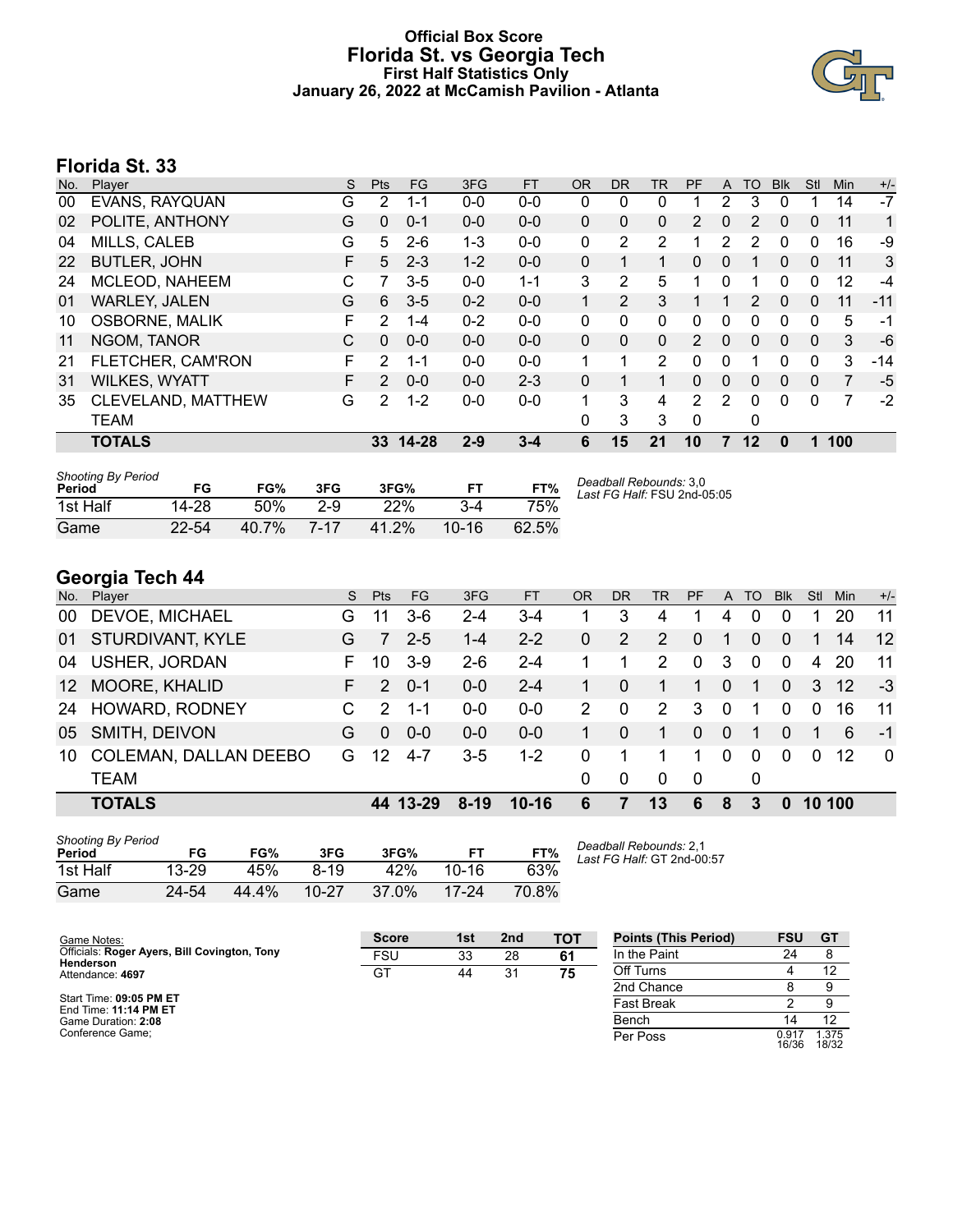### **Official Box Score Florida St. vs Georgia Tech First Half Statistics Only January 26, 2022 at McCamish Pavilion - Atlanta**



# **Florida St. 33**

| No. | Player                | S  | <b>Pts</b>    | <b>FG</b> | 3FG     | <b>FT</b> | <b>OR</b> | <b>DR</b> | <b>TR</b>      | PF             | A        | TO       | <b>Blk</b> | Stl          | Min | $+/-$ |
|-----|-----------------------|----|---------------|-----------|---------|-----------|-----------|-----------|----------------|----------------|----------|----------|------------|--------------|-----|-------|
| 00  | EVANS, RAYQUAN        | G  | 2             | 1-1       | $0 - 0$ | $0-0$     | 0         | 0         | 0              |                | 2        | 3        | 0          |              | 14  | $-7$  |
| 02  | POLITE, ANTHONY       | G  | $\mathbf{0}$  | $0 - 1$   | $0 - 0$ | $0 - 0$   | 0         | 0         | 0              | 2              | 0        | 2        | $\Omega$   | $\mathbf{0}$ | 11  | 1     |
| 04  | MILLS, CALEB          | G  | 5             | $2 - 6$   | 1-3     | $0 - 0$   | 0         | 2         | 2              |                | 2        | 2        | 0          | 0            | 16  | -9    |
| 22  | <b>BUTLER, JOHN</b>   | F  | 5             | $2 - 3$   | $1 - 2$ | $0 - 0$   | 0         | 1         | 1              | 0              | 0        |          | $\Omega$   | 0            | 11  | 3     |
| 24  | MCLEOD, NAHEEM        | C  | 7             | $3 - 5$   | $0 - 0$ | $1 - 1$   | 3         | 2         | 5              | 1              | 0        | 1        | $\Omega$   | $\Omega$     | 12  | -4    |
| 01  | <b>WARLEY, JALEN</b>  | G  | 6             | $3 - 5$   | $0 - 2$ | $0 - 0$   |           | 2         | 3              |                |          | 2        | $\Omega$   | 0            | 11  | $-11$ |
| 10  | <b>OSBORNE, MALIK</b> | F  | 2             | $1 - 4$   | $0 - 2$ | $0 - 0$   | 0         | 0         | 0              | 0              | 0        | 0        | $\Omega$   | 0            | 5   | -1    |
| 11  | NGOM, TANOR           | C  | $\Omega$      | $0 - 0$   | $0 - 0$ | $0 - 0$   | 0         | 0         | 0              | $\overline{2}$ | 0        | $\Omega$ | $\Omega$   | $\Omega$     | 3   | -6    |
| 21  | FLETCHER, CAM'RON     | F  | 2             | $1 - 1$   | $0 - 0$ | $0 - 0$   |           | 1         | $\overline{2}$ | 0              | 0        |          | 0          | 0            | 3   | $-14$ |
| 31  | <b>WILKES, WYATT</b>  | F. | $\mathcal{P}$ | $0 - 0$   | $0 - 0$ | $2 - 3$   | 0         | 1         |                | $\Omega$       | $\Omega$ | $\Omega$ | 0          | $\mathbf{0}$ | 7   | $-5$  |
| 35  | CLEVELAND, MATTHEW    | G  | 2             | $1 - 2$   | $0 - 0$ | $0 - 0$   | 1         | 3         | 4              | $\mathcal{P}$  | 2        | $\Omega$ | $\Omega$   | $\Omega$     | 7   | $-2$  |
|     | <b>TEAM</b>           |    |               |           |         |           | 0         | 3         | 3              | 0              |          | 0        |            |              |     |       |
|     | <b>TOTALS</b>         |    | 33            | $14 - 28$ | $2 - 9$ | $3 - 4$   | 6         | 15        | 21             | 10             |          | 12       | 0          | 1            | 100 |       |

| <b>Shooting By Period</b><br>Period | FG        | FG%   | 3FG   | 3FG%  | FТ        | FT%   | Deadball Rebounds: 3,0<br>Last FG Half: FSU 2nd-05:05 |
|-------------------------------------|-----------|-------|-------|-------|-----------|-------|-------------------------------------------------------|
| 1st Half                            | 14-28     | 50%   | $2-9$ | 22%   | $3-4$     | 75%   |                                                       |
| Game                                | $22 - 54$ | 40.7% | 7-17  | 41.2% | $10 - 16$ | 62.5% |                                                       |

# **Georgia Tech 44**

|     | <b>TOTALS</b>                |    |               | 44 13-29 | $8 - 19$ | $10-16$   | 6   | 7            | 13                    | 6            | 8            | 3            | $\bf{0}$     |          | 10 100    |       |
|-----|------------------------------|----|---------------|----------|----------|-----------|-----|--------------|-----------------------|--------------|--------------|--------------|--------------|----------|-----------|-------|
|     | <b>TEAM</b>                  |    |               |          |          |           | 0   | $\mathbf 0$  | $\Omega$              | -0           |              | 0            |              |          |           |       |
| 10  | <b>COLEMAN, DALLAN DEEBO</b> | G. | 12            | $4 - 7$  | $3 - 5$  | $1 - 2$   | 0   | 1            |                       | 1.           | $\Omega$     | $\mathbf{0}$ | $\Omega$     | $\Omega$ | 12        | - 0   |
|     | 05 SMITH, DEIVON             | G  | $\Omega$      | $0 - 0$  | $0 - 0$  | $0 - 0$   | 1   | $\mathbf{0}$ | 1                     | $\Omega$     | $\mathbf{0}$ | 1            | $\Omega$     | 1        | 6         | -1    |
|     | 24 HOWARD, RODNEY            |    | $\mathcal{P}$ | -1-1     | $0-0$    | $0 - 0$   | 2   | 0            | $\mathbf{2}^{\prime}$ | 3            | $\Omega$     | 1            | $\Omega$     | $\Omega$ | 16        | -11   |
|     | 12 MOORE, KHALID             | F. | $\mathcal{P}$ | $0 - 1$  | $0 - 0$  | $2 - 4$   |     | $\mathbf{0}$ | 1                     | 1            | $\Omega$     | $\mathbf{1}$ | $\Omega$     |          | 3 12      | -3    |
| 04  | <b>USHER, JORDAN</b>         | F. | 10            | $3-9$    | $2-6$    | $2 - 4$   |     | 1            | 2                     | $\mathbf 0$  | 3            | $\mathbf 0$  | $\Omega$     | 4        | <b>20</b> | -11   |
|     | 01 STURDIVANT, KYLE          | G  | 7             | $2 - 5$  | $1 - 4$  | $2 - 2$   | 0   | 2            | $\mathbf{2}$          | $\mathbf{0}$ | -1           | $\Omega$     | $\mathbf{0}$ |          | 14        | 12    |
| 00  | <b>DEVOE, MICHAEL</b>        | G  | 11            | $3-6$    | 2-4      | $3 - 4$   |     | 3            | 4                     |              | 4            | 0            | $\Omega$     |          | 20        | -11   |
| No. | .<br>Player                  | S. | <b>Pts</b>    | FG       | 3FG      | <b>FT</b> | OR. | DR.          | TR                    | <b>PF</b>    |              | A TO         | <b>Blk</b>   | Stl      | Min.      | $+/-$ |

| <b>Shooting By Period</b> |       |       |           |       |           |       |
|---------------------------|-------|-------|-----------|-------|-----------|-------|
| Period                    | FG    | FG%   | 3FG       | 3FG%  |           | FT%   |
| 1st Half                  | 13-29 | 45%   | $8 - 19$  | 42%   | $10 - 16$ | 63%   |
| Game                      | 24-54 | 44.4% | $10 - 27$ | 37.0% | $17-24$   | 70.8% |

*Deadball Rebounds:* 2,1 *Last FG Half:* GT 2nd-00:57

| Game Notes:                                               | <b>Score</b> | 1st | 2 <sub>nd</sub> | TOT | <b>Points (This Period)</b> | <b>FSU</b>     | GT            |
|-----------------------------------------------------------|--------------|-----|-----------------|-----|-----------------------------|----------------|---------------|
| Officials: Roger Ayers, Bill Covington, Tony<br>Henderson | <b>FSU</b>   | 33  | 28              | 61  | In the Paint                | 24             |               |
| Attendance: 4697                                          | GT           | 44  | 31              | 75  | Off Turns                   |                | 12            |
|                                                           |              |     |                 |     | 2nd Chance                  |                |               |
| Start Time: 09:05 PM ET<br>End Time: 11:14 PM ET          |              |     |                 |     | <b>Fast Break</b>           |                |               |
| Game Duration: 2:08                                       |              |     |                 |     | Bench                       |                | 12            |
| Conference Game:                                          |              |     |                 |     | Per Poss                    | 0.917<br>16/36 | .375<br>18/32 |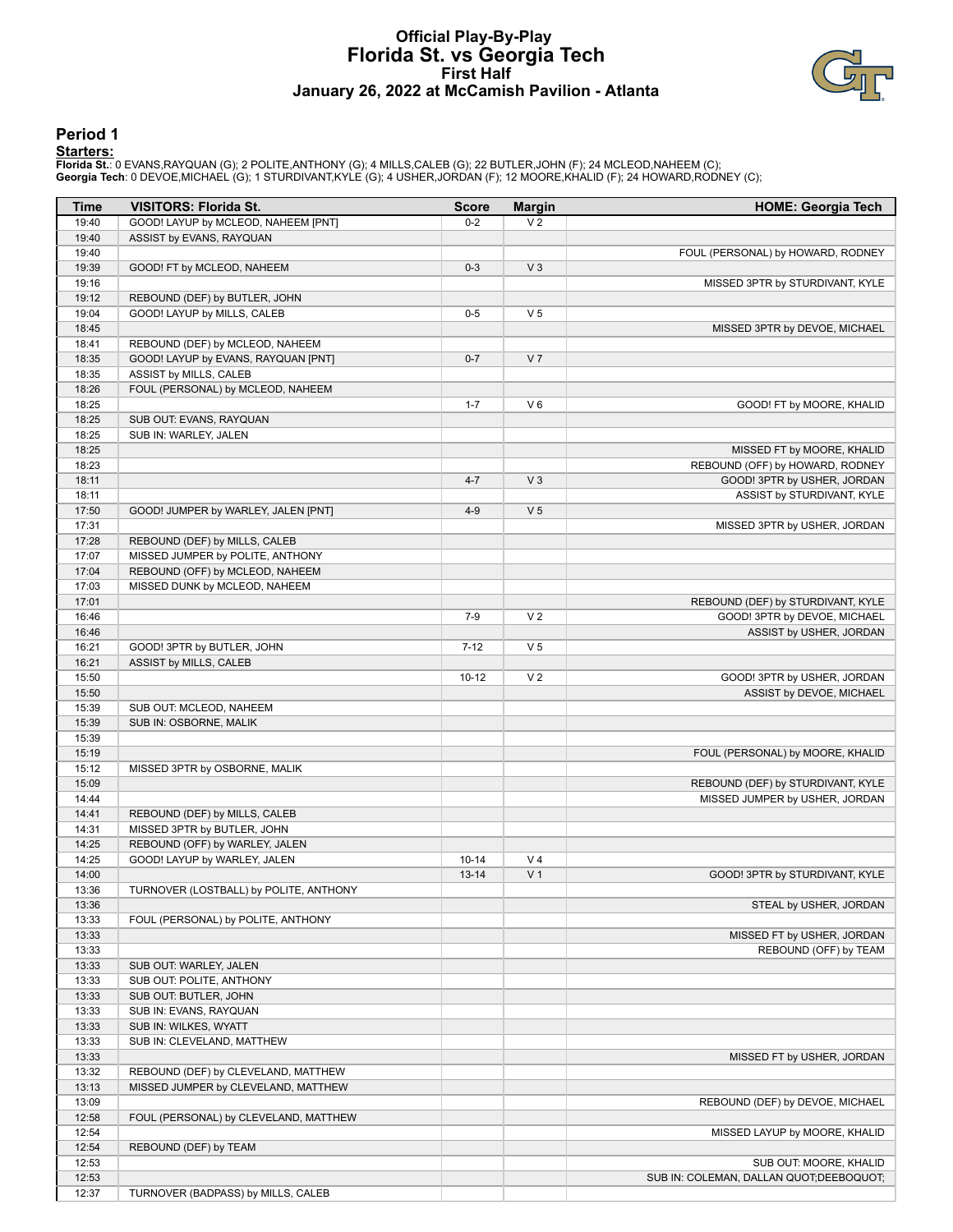## **Official Play-By-Play Florida St. vs Georgia Tech First Half January 26, 2022 at McCamish Pavilion - Atlanta**



#### **Period 1**

<mark>Startersː</mark><br>Florida St.: 0 EVANS,RAYQUAN (G); 2 POLITE,ANTHONY (G); 4 MILLS,CALEB (G); 22 BUTLER,JOHN (F); 24 MCLEOD,NAHEEM (C);<br>Georgia Tech: 0 DEVOE,MICHAEL (G); 1 STURDIVANT,KYLE (G); 4 USHER,JORDAN (F); 12 MOORE,KHALID

| Time           | <b>VISITORS: Florida St.</b>                        | <b>Score</b> | <b>Margin</b>  | <b>HOME: Georgia Tech</b>               |
|----------------|-----------------------------------------------------|--------------|----------------|-----------------------------------------|
| 19:40          | GOOD! LAYUP by MCLEOD, NAHEEM [PNT]                 | $0 - 2$      | V <sub>2</sub> |                                         |
| 19:40          | ASSIST by EVANS, RAYQUAN                            |              |                |                                         |
| 19:40          |                                                     |              |                | FOUL (PERSONAL) by HOWARD, RODNEY       |
| 19:39          | GOOD! FT by MCLEOD, NAHEEM                          | $0 - 3$      | $V_3$          |                                         |
| 19:16          |                                                     |              |                | MISSED 3PTR by STURDIVANT, KYLE         |
| 19:12          | REBOUND (DEF) by BUTLER, JOHN                       |              |                |                                         |
| 19:04          | GOOD! LAYUP by MILLS, CALEB                         | $0-5$        | V <sub>5</sub> |                                         |
| 18:45          |                                                     |              |                | MISSED 3PTR by DEVOE, MICHAEL           |
| 18:41          | REBOUND (DEF) by MCLEOD, NAHEEM                     |              |                |                                         |
| 18:35          | GOOD! LAYUP by EVANS, RAYQUAN [PNT]                 | $0 - 7$      | V <sub>7</sub> |                                         |
| 18:35          | ASSIST by MILLS, CALEB                              |              |                |                                         |
| 18:26          | FOUL (PERSONAL) by MCLEOD, NAHEEM                   |              |                |                                         |
| 18:25          |                                                     | $1 - 7$      | $V_6$          | GOOD! FT by MOORE, KHALID               |
| 18:25          | SUB OUT: EVANS, RAYQUAN                             |              |                |                                         |
| 18:25          | SUB IN: WARLEY, JALEN                               |              |                |                                         |
| 18:25          |                                                     |              |                | MISSED FT by MOORE, KHALID              |
| 18:23<br>18:11 |                                                     | $4 - 7$      | V <sub>3</sub> | REBOUND (OFF) by HOWARD, RODNEY         |
| 18:11          |                                                     |              |                | GOOD! 3PTR by USHER, JORDAN             |
| 17:50          | GOOD! JUMPER by WARLEY, JALEN [PNT]                 | $4 - 9$      | V <sub>5</sub> | ASSIST by STURDIVANT, KYLE              |
| 17:31          |                                                     |              |                | MISSED 3PTR by USHER, JORDAN            |
| 17:28          | REBOUND (DEF) by MILLS, CALEB                       |              |                |                                         |
| 17:07          | MISSED JUMPER by POLITE, ANTHONY                    |              |                |                                         |
| 17:04          | REBOUND (OFF) by MCLEOD, NAHEEM                     |              |                |                                         |
| 17:03          | MISSED DUNK by MCLEOD, NAHEEM                       |              |                |                                         |
| 17:01          |                                                     |              |                | REBOUND (DEF) by STURDIVANT, KYLE       |
| 16:46          |                                                     | $7-9$        | V <sub>2</sub> | GOOD! 3PTR by DEVOE, MICHAEL            |
| 16:46          |                                                     |              |                | ASSIST by USHER, JORDAN                 |
| 16:21          | GOOD! 3PTR by BUTLER, JOHN                          | $7 - 12$     | V <sub>5</sub> |                                         |
| 16:21          | ASSIST by MILLS, CALEB                              |              |                |                                         |
| 15:50          |                                                     | $10 - 12$    | V <sub>2</sub> | GOOD! 3PTR by USHER, JORDAN             |
| 15:50          |                                                     |              |                | ASSIST by DEVOE, MICHAEL                |
| 15:39          | SUB OUT: MCLEOD, NAHEEM                             |              |                |                                         |
| 15:39          | SUB IN: OSBORNE, MALIK                              |              |                |                                         |
| 15:39          |                                                     |              |                |                                         |
| 15:19          |                                                     |              |                | FOUL (PERSONAL) by MOORE, KHALID        |
| 15:12          | MISSED 3PTR by OSBORNE, MALIK                       |              |                |                                         |
| 15:09          |                                                     |              |                | REBOUND (DEF) by STURDIVANT, KYLE       |
| 14:44          |                                                     |              |                | MISSED JUMPER by USHER, JORDAN          |
| 14:41          | REBOUND (DEF) by MILLS, CALEB                       |              |                |                                         |
| 14:31          | MISSED 3PTR by BUTLER, JOHN                         |              |                |                                         |
| 14:25          | REBOUND (OFF) by WARLEY, JALEN                      |              |                |                                         |
| 14:25          | GOOD! LAYUP by WARLEY, JALEN                        | $10 - 14$    | V <sub>4</sub> |                                         |
| 14:00          |                                                     | $13 - 14$    | V <sub>1</sub> | GOOD! 3PTR by STURDIVANT, KYLE          |
| 13:36          | TURNOVER (LOSTBALL) by POLITE, ANTHONY              |              |                |                                         |
| 13:36          |                                                     |              |                | STEAL by USHER, JORDAN                  |
| 13:33          | FOUL (PERSONAL) by POLITE, ANTHONY                  |              |                |                                         |
| 13:33          |                                                     |              |                | MISSED FT by USHER, JORDAN              |
| 13:33          |                                                     |              |                | REBOUND (OFF) by TEAM                   |
| 13:33          | SUB OUT: WARLEY, JALEN                              |              |                |                                         |
| 13:33          | SUB OUT: POLITE, ANTHONY                            |              |                |                                         |
| 13:33          | SUB OUT: BUTLER, JOHN                               |              |                |                                         |
| 13:33          | SUB IN: EVANS, RAYQUAN                              |              |                |                                         |
| 13:33<br>13:33 | SUB IN: WILKES, WYATT<br>SUB IN: CLEVELAND, MATTHEW |              |                |                                         |
| 13:33          |                                                     |              |                | MISSED FT by USHER, JORDAN              |
| 13:32          | REBOUND (DEF) by CLEVELAND, MATTHEW                 |              |                |                                         |
| 13:13          | MISSED JUMPER by CLEVELAND, MATTHEW                 |              |                |                                         |
| 13:09          |                                                     |              |                | REBOUND (DEF) by DEVOE, MICHAEL         |
| 12:58          | FOUL (PERSONAL) by CLEVELAND, MATTHEW               |              |                |                                         |
| 12:54          |                                                     |              |                | MISSED LAYUP by MOORE, KHALID           |
| 12:54          | REBOUND (DEF) by TEAM                               |              |                |                                         |
| 12:53          |                                                     |              |                | SUB OUT: MOORE, KHALID                  |
| 12:53          |                                                     |              |                | SUB IN: COLEMAN, DALLAN QUOT;DEEBOQUOT; |
| 12:37          | TURNOVER (BADPASS) by MILLS, CALEB                  |              |                |                                         |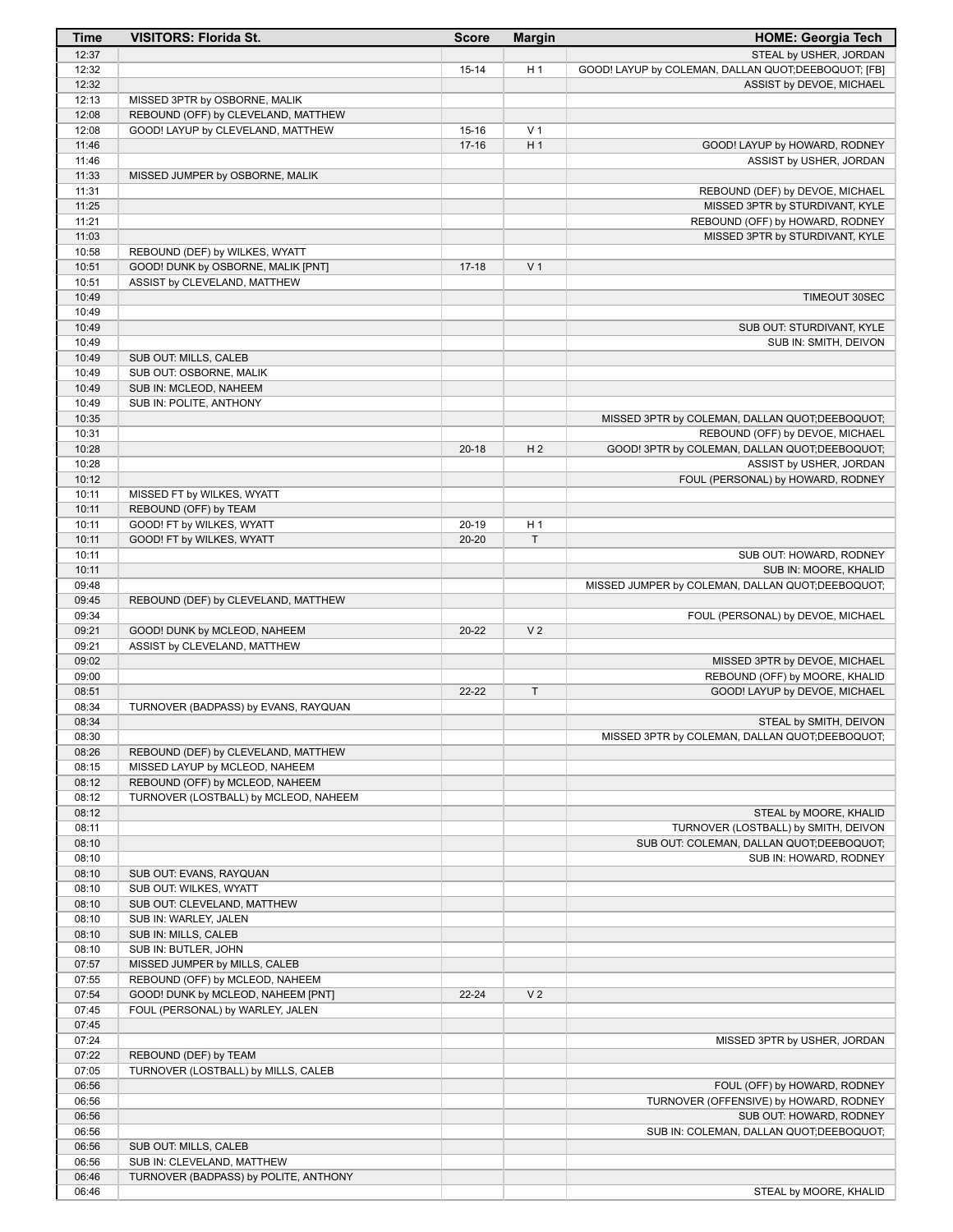| <b>Time</b>    | <b>VISITORS: Florida St.</b>                                             | <b>Score</b> | <b>Margin</b>  | <b>HOME: Georgia Tech</b>                                       |
|----------------|--------------------------------------------------------------------------|--------------|----------------|-----------------------------------------------------------------|
| 12:37          |                                                                          |              |                | STEAL by USHER, JORDAN                                          |
| 12:32          |                                                                          | $15 - 14$    | H <sub>1</sub> | GOOD! LAYUP by COLEMAN, DALLAN QUOT;DEEBOQUOT; [FB]             |
| 12:32          |                                                                          |              |                | ASSIST by DEVOE, MICHAEL                                        |
| 12:13          | MISSED 3PTR by OSBORNE, MALIK                                            |              |                |                                                                 |
| 12:08<br>12:08 | REBOUND (OFF) by CLEVELAND, MATTHEW<br>GOOD! LAYUP by CLEVELAND, MATTHEW | $15-16$      | V <sub>1</sub> |                                                                 |
| 11:46          |                                                                          | $17-16$      | H <sub>1</sub> | GOOD! LAYUP by HOWARD, RODNEY                                   |
| 11:46          |                                                                          |              |                | ASSIST by USHER, JORDAN                                         |
| 11:33          | MISSED JUMPER by OSBORNE, MALIK                                          |              |                |                                                                 |
| 11:31          |                                                                          |              |                | REBOUND (DEF) by DEVOE, MICHAEL                                 |
| 11:25          |                                                                          |              |                | MISSED 3PTR by STURDIVANT, KYLE                                 |
| 11:21          |                                                                          |              |                | REBOUND (OFF) by HOWARD, RODNEY                                 |
| 11:03          |                                                                          |              |                | MISSED 3PTR by STURDIVANT, KYLE                                 |
| 10:58          | REBOUND (DEF) by WILKES, WYATT                                           |              |                |                                                                 |
| 10:51          | GOOD! DUNK by OSBORNE, MALIK [PNT]                                       | $17-18$      | V <sub>1</sub> |                                                                 |
| 10:51<br>10:49 | ASSIST by CLEVELAND, MATTHEW                                             |              |                | TIMEOUT 30SEC                                                   |
| 10:49          |                                                                          |              |                |                                                                 |
| 10:49          |                                                                          |              |                | SUB OUT: STURDIVANT, KYLE                                       |
| 10:49          |                                                                          |              |                | SUB IN: SMITH, DEIVON                                           |
| 10:49          | SUB OUT: MILLS, CALEB                                                    |              |                |                                                                 |
| 10:49          | SUB OUT: OSBORNE, MALIK                                                  |              |                |                                                                 |
| 10:49          | SUB IN: MCLEOD, NAHEEM                                                   |              |                |                                                                 |
| 10:49          | SUB IN: POLITE, ANTHONY                                                  |              |                |                                                                 |
| 10:35          |                                                                          |              |                | MISSED 3PTR by COLEMAN, DALLAN QUOT;DEEBOQUOT;                  |
| 10:31          |                                                                          |              |                | REBOUND (OFF) by DEVOE, MICHAEL                                 |
| 10:28          |                                                                          | $20 - 18$    | H <sub>2</sub> | GOOD! 3PTR by COLEMAN, DALLAN QUOT; DEEBOQUOT;                  |
| 10:28          |                                                                          |              |                | ASSIST by USHER, JORDAN                                         |
| 10:12<br>10:11 | MISSED FT by WILKES, WYATT                                               |              |                | FOUL (PERSONAL) by HOWARD, RODNEY                               |
| 10:11          | REBOUND (OFF) by TEAM                                                    |              |                |                                                                 |
| 10:11          | GOOD! FT by WILKES, WYATT                                                | $20-19$      | H <sub>1</sub> |                                                                 |
| 10:11          | GOOD! FT by WILKES, WYATT                                                | $20 - 20$    | T.             |                                                                 |
| 10:11          |                                                                          |              |                | SUB OUT: HOWARD, RODNEY                                         |
| 10:11          |                                                                          |              |                | SUB IN: MOORE, KHALID                                           |
| 09:48          |                                                                          |              |                | MISSED JUMPER by COLEMAN, DALLAN QUOT;DEEBOQUOT;                |
| 09:45          | REBOUND (DEF) by CLEVELAND, MATTHEW                                      |              |                |                                                                 |
| 09:34          |                                                                          |              |                | FOUL (PERSONAL) by DEVOE, MICHAEL                               |
| 09:21          | GOOD! DUNK by MCLEOD, NAHEEM                                             | $20 - 22$    | V <sub>2</sub> |                                                                 |
| 09:21<br>09:02 | ASSIST by CLEVELAND, MATTHEW                                             |              |                |                                                                 |
| 09:00          |                                                                          |              |                | MISSED 3PTR by DEVOE, MICHAEL<br>REBOUND (OFF) by MOORE, KHALID |
| 08:51          |                                                                          | $22 - 22$    | $\top$         | GOOD! LAYUP by DEVOE, MICHAEL                                   |
| 08:34          | TURNOVER (BADPASS) by EVANS, RAYQUAN                                     |              |                |                                                                 |
| 08:34          |                                                                          |              |                | STEAL by SMITH, DEIVON                                          |
| 08:30          |                                                                          |              |                | MISSED 3PTR by COLEMAN, DALLAN QUOT;DEEBOQUOT;                  |
| 08:26          | REBOUND (DEF) by CLEVELAND, MATTHEW                                      |              |                |                                                                 |
| 08:15          | MISSED LAYUP by MCLEOD, NAHEEM                                           |              |                |                                                                 |
| 08:12          | REBOUND (OFF) by MCLEOD, NAHEEM                                          |              |                |                                                                 |
| 08:12          | TURNOVER (LOSTBALL) by MCLEOD, NAHEEM                                    |              |                |                                                                 |
| 08:12<br>08:11 |                                                                          |              |                | STEAL by MOORE, KHALID<br>TURNOVER (LOSTBALL) by SMITH, DEIVON  |
| 08:10          |                                                                          |              |                | SUB OUT: COLEMAN, DALLAN QUOT;DEEBOQUOT;                        |
| 08:10          |                                                                          |              |                | SUB IN: HOWARD, RODNEY                                          |
| 08:10          | SUB OUT: EVANS, RAYQUAN                                                  |              |                |                                                                 |
| 08:10          | SUB OUT: WILKES, WYATT                                                   |              |                |                                                                 |
| 08:10          | SUB OUT: CLEVELAND, MATTHEW                                              |              |                |                                                                 |
| 08:10          | SUB IN: WARLEY, JALEN                                                    |              |                |                                                                 |
| 08:10          | SUB IN: MILLS, CALEB                                                     |              |                |                                                                 |
| 08:10          | SUB IN: BUTLER, JOHN                                                     |              |                |                                                                 |
| 07:57          | MISSED JUMPER by MILLS, CALEB                                            |              |                |                                                                 |
| 07:55          | REBOUND (OFF) by MCLEOD, NAHEEM                                          |              |                |                                                                 |
| 07:54<br>07:45 | GOOD! DUNK by MCLEOD, NAHEEM [PNT]<br>FOUL (PERSONAL) by WARLEY, JALEN   | $22 - 24$    | V <sub>2</sub> |                                                                 |
| 07:45          |                                                                          |              |                |                                                                 |
| 07:24          |                                                                          |              |                | MISSED 3PTR by USHER, JORDAN                                    |
| 07:22          | REBOUND (DEF) by TEAM                                                    |              |                |                                                                 |
| 07:05          | TURNOVER (LOSTBALL) by MILLS, CALEB                                      |              |                |                                                                 |
| 06:56          |                                                                          |              |                | FOUL (OFF) by HOWARD, RODNEY                                    |
| 06:56          |                                                                          |              |                | TURNOVER (OFFENSIVE) by HOWARD, RODNEY                          |
| 06:56          |                                                                          |              |                | SUB OUT: HOWARD, RODNEY                                         |
| 06:56          |                                                                          |              |                | SUB IN: COLEMAN, DALLAN QUOT;DEEBOQUOT;                         |
| 06:56          | SUB OUT: MILLS, CALEB                                                    |              |                |                                                                 |
| 06:56          | SUB IN: CLEVELAND, MATTHEW                                               |              |                |                                                                 |
| 06:46<br>06:46 | TURNOVER (BADPASS) by POLITE, ANTHONY                                    |              |                | STEAL by MOORE, KHALID                                          |
|                |                                                                          |              |                |                                                                 |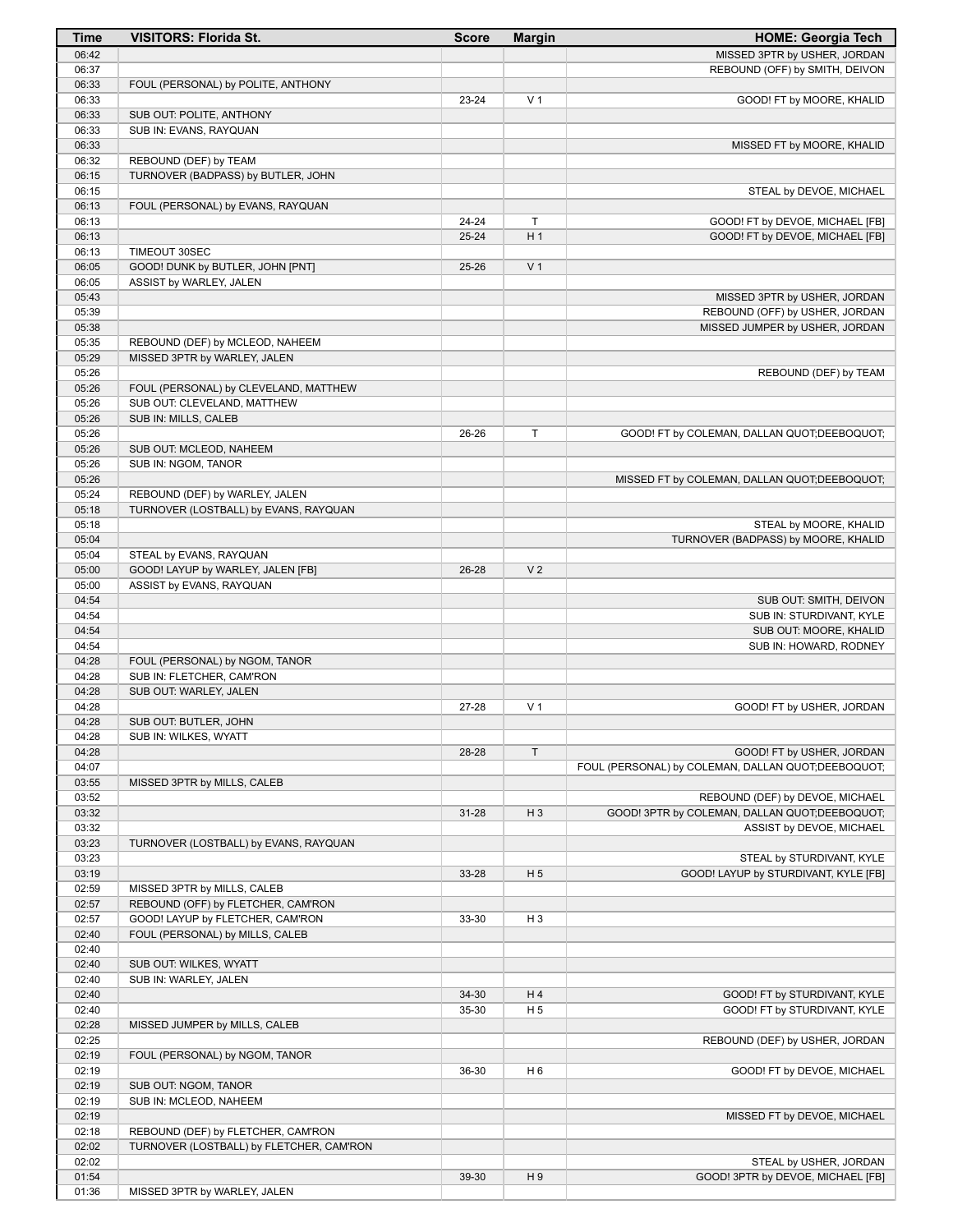| Time           | <b>VISITORS: Florida St.</b>                                                   | <b>Score</b>       | <b>Margin</b>  | <b>HOME: Georgia Tech</b>                                          |
|----------------|--------------------------------------------------------------------------------|--------------------|----------------|--------------------------------------------------------------------|
| 06:42          |                                                                                |                    |                | MISSED 3PTR by USHER, JORDAN                                       |
| 06:37          |                                                                                |                    |                | REBOUND (OFF) by SMITH, DEIVON                                     |
| 06:33          | FOUL (PERSONAL) by POLITE, ANTHONY                                             |                    |                |                                                                    |
| 06:33<br>06:33 | SUB OUT: POLITE, ANTHONY                                                       | 23-24              | V <sub>1</sub> | GOOD! FT by MOORE, KHALID                                          |
| 06:33          | SUB IN: EVANS, RAYQUAN                                                         |                    |                |                                                                    |
| 06:33          |                                                                                |                    |                | MISSED FT by MOORE, KHALID                                         |
| 06:32          | REBOUND (DEF) by TEAM                                                          |                    |                |                                                                    |
| 06:15          | TURNOVER (BADPASS) by BUTLER, JOHN                                             |                    |                |                                                                    |
| 06:15          |                                                                                |                    |                | STEAL by DEVOE, MICHAEL                                            |
| 06:13          | FOUL (PERSONAL) by EVANS, RAYQUAN                                              |                    | $\mathsf{T}$   |                                                                    |
| 06:13<br>06:13 |                                                                                | 24-24<br>$25 - 24$ | H <sub>1</sub> | GOOD! FT by DEVOE, MICHAEL [FB]<br>GOOD! FT by DEVOE, MICHAEL [FB] |
| 06:13          | TIMEOUT 30SEC                                                                  |                    |                |                                                                    |
| 06:05          | GOOD! DUNK by BUTLER, JOHN [PNT]                                               | $25 - 26$          | V <sub>1</sub> |                                                                    |
| 06:05          | ASSIST by WARLEY, JALEN                                                        |                    |                |                                                                    |
| 05:43          |                                                                                |                    |                | MISSED 3PTR by USHER, JORDAN                                       |
| 05:39          |                                                                                |                    |                | REBOUND (OFF) by USHER, JORDAN                                     |
| 05:38          |                                                                                |                    |                | MISSED JUMPER by USHER, JORDAN                                     |
| 05:35<br>05:29 | REBOUND (DEF) by MCLEOD, NAHEEM<br>MISSED 3PTR by WARLEY, JALEN                |                    |                |                                                                    |
| 05:26          |                                                                                |                    |                | REBOUND (DEF) by TEAM                                              |
| 05:26          | FOUL (PERSONAL) by CLEVELAND, MATTHEW                                          |                    |                |                                                                    |
| 05:26          | SUB OUT: CLEVELAND, MATTHEW                                                    |                    |                |                                                                    |
| 05:26          | SUB IN: MILLS, CALEB                                                           |                    |                |                                                                    |
| 05:26          |                                                                                | 26-26              | Т              | GOOD! FT by COLEMAN, DALLAN QUOT;DEEBOQUOT;                        |
| 05:26          | SUB OUT: MCLEOD, NAHEEM                                                        |                    |                |                                                                    |
| 05:26<br>05:26 | SUB IN: NGOM, TANOR                                                            |                    |                | MISSED FT by COLEMAN, DALLAN QUOT;DEEBOQUOT;                       |
| 05:24          | REBOUND (DEF) by WARLEY, JALEN                                                 |                    |                |                                                                    |
| 05:18          | TURNOVER (LOSTBALL) by EVANS, RAYQUAN                                          |                    |                |                                                                    |
| 05:18          |                                                                                |                    |                | STEAL by MOORE, KHALID                                             |
| 05:04          |                                                                                |                    |                | TURNOVER (BADPASS) by MOORE, KHALID                                |
| 05:04          | STEAL by EVANS, RAYQUAN                                                        |                    |                |                                                                    |
| 05:00          | GOOD! LAYUP by WARLEY, JALEN [FB]                                              | 26-28              | V <sub>2</sub> |                                                                    |
| 05:00          | ASSIST by EVANS, RAYQUAN                                                       |                    |                |                                                                    |
| 04:54<br>04:54 |                                                                                |                    |                | SUB OUT: SMITH, DEIVON<br>SUB IN: STURDIVANT, KYLE                 |
| 04:54          |                                                                                |                    |                | SUB OUT: MOORE, KHALID                                             |
| 04:54          |                                                                                |                    |                | SUB IN: HOWARD, RODNEY                                             |
| 04:28          | FOUL (PERSONAL) by NGOM, TANOR                                                 |                    |                |                                                                    |
| 04:28          | SUB IN: FLETCHER, CAM'RON                                                      |                    |                |                                                                    |
| 04:28          | SUB OUT: WARLEY, JALEN                                                         |                    |                |                                                                    |
| 04:28          |                                                                                | 27-28              | V <sub>1</sub> | GOOD! FT by USHER, JORDAN                                          |
| 04:28<br>04:28 | SUB OUT: BUTLER, JOHN<br>SUB IN: WILKES, WYATT                                 |                    |                |                                                                    |
| 04:28          |                                                                                | 28-28              | $\mathsf{T}$   | GOOD! FT by USHER, JORDAN                                          |
| 04:07          |                                                                                |                    |                | FOUL (PERSONAL) by COLEMAN, DALLAN QUOT;DEEBOQUOT;                 |
| 03:55          | MISSED 3PTR by MILLS, CALEB                                                    |                    |                |                                                                    |
| 03:52          |                                                                                |                    |                | REBOUND (DEF) by DEVOE, MICHAEL                                    |
| 03:32          |                                                                                | $31 - 28$          | $H_3$          | GOOD! 3PTR by COLEMAN, DALLAN QUOT;DEEBOQUOT;                      |
| 03:32          |                                                                                |                    |                | ASSIST by DEVOE, MICHAEL                                           |
| 03:23<br>03:23 | TURNOVER (LOSTBALL) by EVANS, RAYQUAN                                          |                    |                | STEAL by STURDIVANT, KYLE                                          |
| 03:19          |                                                                                | 33-28              | H <sub>5</sub> | GOOD! LAYUP by STURDIVANT, KYLE [FB]                               |
| 02:59          | MISSED 3PTR by MILLS, CALEB                                                    |                    |                |                                                                    |
| 02:57          | REBOUND (OFF) by FLETCHER, CAM'RON                                             |                    |                |                                                                    |
| 02:57          | GOOD! LAYUP by FLETCHER, CAM'RON                                               | 33-30              | H <sub>3</sub> |                                                                    |
| 02:40          | FOUL (PERSONAL) by MILLS, CALEB                                                |                    |                |                                                                    |
| 02:40          |                                                                                |                    |                |                                                                    |
| 02:40          | SUB OUT: WILKES, WYATT                                                         |                    |                |                                                                    |
| 02:40<br>02:40 | SUB IN: WARLEY, JALEN                                                          | 34-30              | H4             |                                                                    |
| 02:40          |                                                                                | 35-30              | H <sub>5</sub> | GOOD! FT by STURDIVANT, KYLE<br>GOOD! FT by STURDIVANT, KYLE       |
| 02:28          | MISSED JUMPER by MILLS, CALEB                                                  |                    |                |                                                                    |
| 02:25          |                                                                                |                    |                | REBOUND (DEF) by USHER, JORDAN                                     |
| 02:19          | FOUL (PERSONAL) by NGOM, TANOR                                                 |                    |                |                                                                    |
| 02:19          |                                                                                | 36-30              | H <sub>6</sub> | GOOD! FT by DEVOE, MICHAEL                                         |
| 02:19          | SUB OUT: NGOM, TANOR                                                           |                    |                |                                                                    |
| 02:19          | SUB IN: MCLEOD, NAHEEM                                                         |                    |                |                                                                    |
| 02:19<br>02:18 |                                                                                |                    |                | MISSED FT by DEVOE, MICHAEL                                        |
| 02:02          | REBOUND (DEF) by FLETCHER, CAM'RON<br>TURNOVER (LOSTBALL) by FLETCHER, CAM'RON |                    |                |                                                                    |
| 02:02          |                                                                                |                    |                | STEAL by USHER, JORDAN                                             |
| 01:54          |                                                                                | 39-30              | H9             | GOOD! 3PTR by DEVOE, MICHAEL [FB]                                  |
| 01:36          | MISSED 3PTR by WARLEY, JALEN                                                   |                    |                |                                                                    |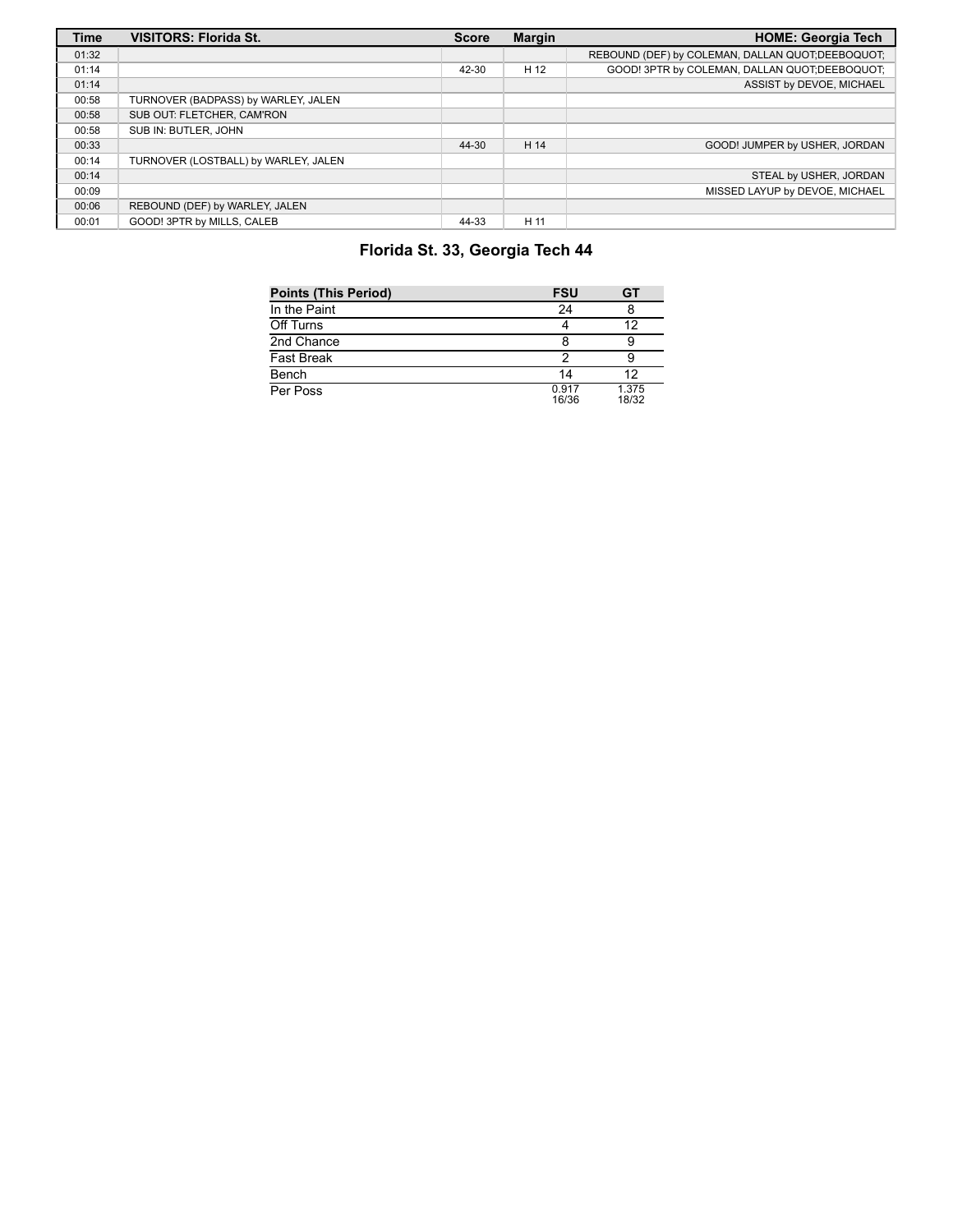| <b>Time</b> | <b>VISITORS: Florida St.</b>         | <b>Score</b> | <b>Margin</b> | <b>HOME: Georgia Tech</b>                        |
|-------------|--------------------------------------|--------------|---------------|--------------------------------------------------|
| 01:32       |                                      |              |               | REBOUND (DEF) by COLEMAN, DALLAN QUOT;DEEBOQUOT; |
| 01:14       |                                      | 42-30        | H 12          | GOOD! 3PTR by COLEMAN, DALLAN QUOT;DEEBOQUOT;    |
| 01:14       |                                      |              |               | ASSIST by DEVOE, MICHAEL                         |
| 00:58       | TURNOVER (BADPASS) by WARLEY, JALEN  |              |               |                                                  |
| 00:58       | SUB OUT: FLETCHER, CAM'RON           |              |               |                                                  |
| 00:58       | SUB IN: BUTLER, JOHN                 |              |               |                                                  |
| 00:33       |                                      | 44-30        | H 14          | GOOD! JUMPER by USHER, JORDAN                    |
| 00:14       | TURNOVER (LOSTBALL) by WARLEY, JALEN |              |               |                                                  |
| 00:14       |                                      |              |               | STEAL by USHER, JORDAN                           |
| 00:09       |                                      |              |               | MISSED LAYUP by DEVOE, MICHAEL                   |
| 00:06       | REBOUND (DEF) by WARLEY, JALEN       |              |               |                                                  |
| 00:01       | GOOD! 3PTR by MILLS, CALEB           | 44-33        | H 11          |                                                  |

# **Florida St. 33, Georgia Tech 44**

| <b>Points (This Period)</b> | <b>FSU</b>     | GT             |
|-----------------------------|----------------|----------------|
| In the Paint                | 24             |                |
| Off Turns                   |                | 12             |
| 2nd Chance                  |                |                |
| <b>Fast Break</b>           |                |                |
| Bench                       | 14             | 12             |
| Per Poss                    | 0.917<br>16/36 | 1.375<br>18/32 |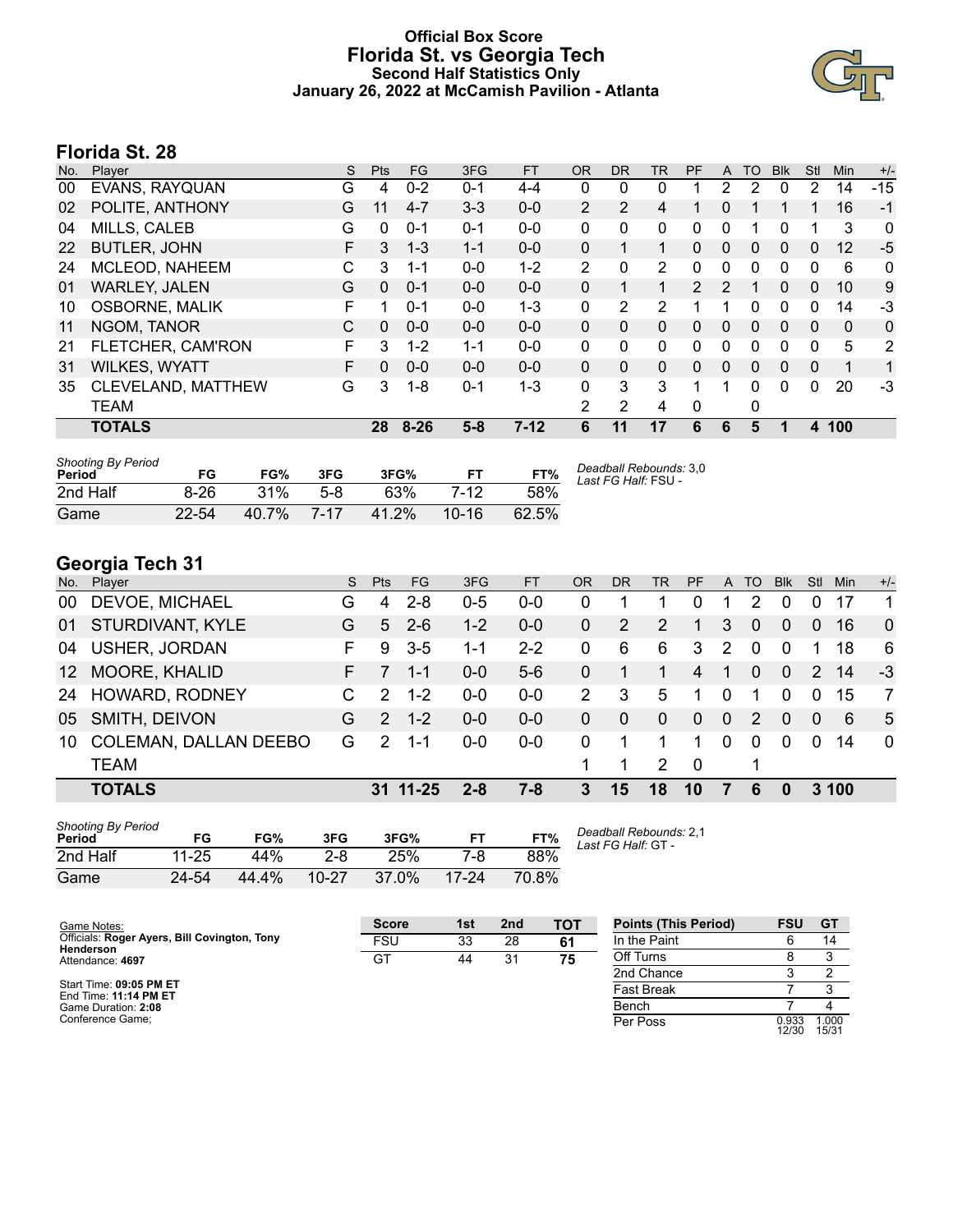# **Official Box Score Florida St. vs Georgia Tech Second Half Statistics Only January 26, 2022 at McCamish Pavilion - Atlanta**



# **Florida St. 28**

| No. | Player                | S  | Pts      | <b>FG</b> | 3FG     | <b>FT</b> | <b>OR</b>      | <b>DR</b> | <b>TR</b>    | PF            | A        | TO       | <b>B</b> lk | Stl          | <b>Min</b> | $+/-$          |
|-----|-----------------------|----|----------|-----------|---------|-----------|----------------|-----------|--------------|---------------|----------|----------|-------------|--------------|------------|----------------|
| 00  | EVANS, RAYQUAN        | G  | 4        | $0 - 2$   | $0 - 1$ | 4-4       | 0              | 0         | 0            |               | 2        | 2        | 0           | 2            | 14         | $-15$          |
| 02  | POLITE, ANTHONY       | G  | 11       | $4 - 7$   | $3 - 3$ | $0 - 0$   | $\overline{2}$ | 2         | 4            | 1             | 0        |          |             | 1.           | 16         | $-1$           |
| 04  | MILLS, CALEB          | G  | $\Omega$ | $0 - 1$   | 0-1     | $0-0$     | 0              | 0         | 0            | 0             | 0        |          | 0           |              | 3          | 0              |
| 22  | <b>BUTLER, JOHN</b>   | F  | 3        | $1 - 3$   | $1 - 1$ | $0 - 0$   | 0              | 1         | $\mathbf 1$  | $\Omega$      | $\Omega$ | 0        | $\Omega$    | $\Omega$     | 12         | $-5$           |
| 24  | MCLEOD, NAHEEM        | С  | 3        | $1 - 1$   | $0 - 0$ | $1 - 2$   | 2              | 0         | 2            | $\Omega$      | 0        | $\Omega$ | $\Omega$    | 0            | 6          | 0              |
| 01  | <b>WARLEY, JALEN</b>  | G  | $\Omega$ | $0 - 1$   | $0 - 0$ | $0 - 0$   | 0              | 1         | 1            | $\mathcal{P}$ | 2        |          | $\Omega$    | $\mathbf{0}$ | 10         | 9              |
| 10  | <b>OSBORNE, MALIK</b> | F  |          | $0 - 1$   | $0 - 0$ | $1 - 3$   | 0              | 2         | 2            |               |          | 0        | 0           | 0            | 14         | $-3$           |
| 11  | NGOM, TANOR           | C  | $\Omega$ | $0 - 0$   | $0 - 0$ | $0 - 0$   | $\Omega$       | $\Omega$  | $\Omega$     | $\Omega$      | 0        | $\Omega$ | $\Omega$    | 0            | $\Omega$   | 0              |
| 21  | FLETCHER, CAM'RON     | F. | 3        | $1 - 2$   | $1 - 1$ | $0-0$     | 0              | 0         | 0            | $\Omega$      | 0        | $\Omega$ | 0           | 0            | 5          | $\overline{2}$ |
| 31  | <b>WILKES, WYATT</b>  | F  | $\Omega$ | $0 - 0$   | $0 - 0$ | $0 - 0$   | 0              | 0         | $\mathbf{0}$ | $\Omega$      | 0        | 0        | 0           | 0            | 1          | 1              |
| 35  | CLEVELAND, MATTHEW    | G  | 3        | $1 - 8$   | $0 - 1$ | $1 - 3$   | 0              | 3         | 3            |               |          | 0        | 0           | 0            | 20         | $-3$           |
|     | <b>TEAM</b>           |    |          |           |         |           | 2              | 2         | 4            | 0             |          | 0        |             |              |            |                |
|     | <b>TOTALS</b>         |    | 28       | $8 - 26$  | $5 - 8$ | $7-12$    | 6              | 11        | 17           | 6             | 6        | 5        |             | 4            | 100        |                |

| <b>Shooting By Period</b><br>Period | FG        | FG%   | 3FG   | 3FG%  | FT.     | FT%   | Deadball Rebounds: 3,0<br>Last FG Half: FSU - |
|-------------------------------------|-----------|-------|-------|-------|---------|-------|-----------------------------------------------|
| 2nd Half                            | 8-26      | 31%   | $5-8$ | 63%   | 7-12    | 58%   |                                               |
| Game                                | $22 - 54$ | 40.7% | 7-17  | 41.2% | $10-16$ | 62.5% |                                               |

# **Georgia Tech 31**

| No.              | Player                       | S. | <b>Pts</b>    | <b>FG</b> | 3FG     | <b>FT</b> | <b>OR</b>    | <b>DR</b>      | <b>TR</b>     | <b>PF</b>      |              | A TO           | <b>BIK</b>   | Stl           | Min   | $+/-$          |
|------------------|------------------------------|----|---------------|-----------|---------|-----------|--------------|----------------|---------------|----------------|--------------|----------------|--------------|---------------|-------|----------------|
| 00               | DEVOE, MICHAEL               | G  | 4             | $2 - 8$   | $0 - 5$ | $0 - 0$   | 0            |                |               | 0              |              | 2              | 0            | 0             | 17    | $\overline{1}$ |
| 01               | STURDIVANT, KYLE             | G  | 5             | -2-6      | $1 - 2$ | $0-0$     | $\mathbf{0}$ | $\overline{2}$ | 2             | 1              | 3            | $\overline{0}$ | 0            | $\mathbf{0}$  | 16    | $\Omega$       |
| 04               | <b>USHER, JORDAN</b>         | F. | 9             | $3 - 5$   | 1-1     | $2 - 2$   | $\Omega$     | 6              | 6             | 3              | 2            | $\Omega$       | $\Omega$     |               | 18    | 6              |
| 12 <sup>12</sup> | MOORE, KHALID                | F. |               | $1 - 1$   | $0 - 0$ | $5-6$     | $\mathbf{0}$ |                | 1             | $\overline{4}$ | 1            | $\Omega$       | $\mathbf{0}$ | $\mathcal{P}$ | 14    | $-3$           |
| 24               | HOWARD, RODNEY               |    | $\mathcal{P}$ | $1 - 2$   | $0 - 0$ | $0-0$     | 2            | 3              | 5             | 1              | $\Omega$     | 1              | $\Omega$     | $\Omega$      | 15    | 7              |
|                  | 05 SMITH, DEIVON             | G  | $\mathcal{P}$ | $1 - 2$   | $0 - 0$ | $0 - 0$   | $\mathbf{0}$ | $\mathbf{0}$   | $\mathbf{0}$  | $\mathbf{0}$   | $\mathbf{0}$ | $\mathcal{P}$  | $\Omega$     | $\Omega$      | -6    | 5              |
| 10               | <b>COLEMAN, DALLAN DEEBO</b> | G  | 2             | 1-1       | $0-0$   | $0-0$     | 0            |                |               | 1              | $\Omega$     | 0              | $\Omega$     | $\Omega$      | 14    | $\Omega$       |
|                  | <b>TEAM</b>                  |    |               |           |         |           |              |                | $\mathcal{P}$ | - 0            |              |                |              |               |       |                |
|                  | <b>TOTALS</b>                |    |               | 31 11-25  | $2 - 8$ | 7-8       | 3            | 15             | 18            | 10             | 7            | 6              | $\bf{0}$     |               | 3,100 |                |

| <b>Shooting By Period</b><br>Period | FG    | FG%   | 3FG       | 3FG%  | FТ        | FT%   |
|-------------------------------------|-------|-------|-----------|-------|-----------|-------|
| 2nd Half                            | 11-25 | 44%   | $2 - 8$   | 25%   | 7-8       | 88%   |
| Game                                | 24-54 | 44.4% | $10 - 27$ | 37.0% | $17 - 24$ | 70.8% |

*Deadball Rebounds:* 2,1 *Last FG Half:* GT -

| Game Notes:                                               | <b>Score</b> | 1st | 2nd | TOT | <b>Points (This Period)</b> | <b>FSU</b>     | GT             |
|-----------------------------------------------------------|--------------|-----|-----|-----|-----------------------------|----------------|----------------|
| Officials: Roger Ayers, Bill Covington, Tony<br>Henderson | <b>FSU</b>   | 33  | 28  | 61  | In the Paint                |                | 14             |
| Attendance: 4697                                          | GT           | 44  | 31  | 75  | Off Turns                   |                |                |
|                                                           |              |     |     |     | 2nd Chance                  |                |                |
| Start Time: 09:05 PM ET<br>End Time: <b>11:14 PM ET</b>   |              |     |     |     | <b>Fast Break</b>           |                |                |
| Game Duration: 2:08                                       |              |     |     |     | Bench                       |                |                |
| Conference Game:                                          |              |     |     |     | Per Poss                    | 0.933<br>12/30 | 1.000<br>15/31 |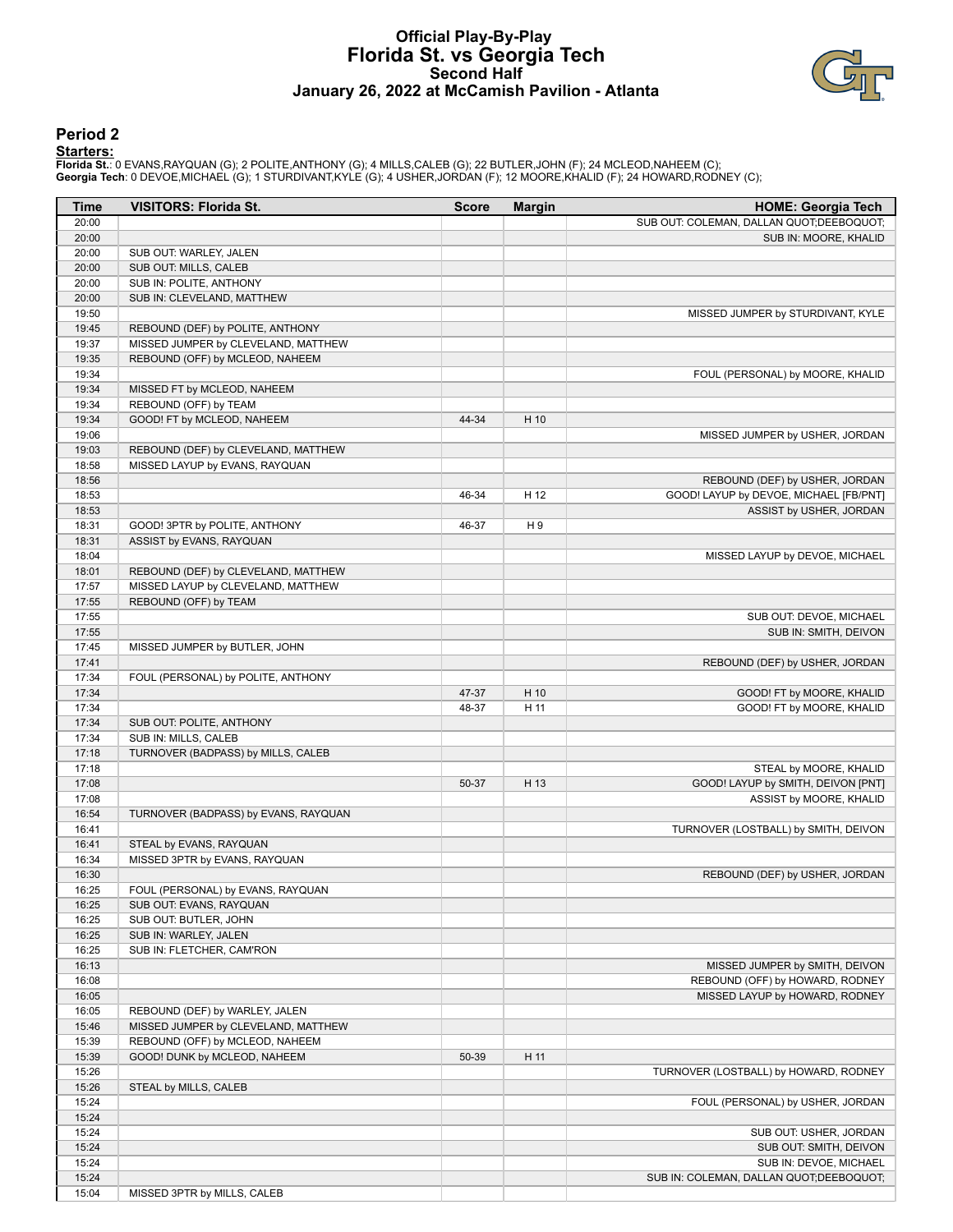# **Official Play-By-Play Florida St. vs Georgia Tech Second Half January 26, 2022 at McCamish Pavilion - Atlanta**



### **Period 2**

<mark>Startersː</mark><br>Florida St.: 0 EVANS,RAYQUAN (G); 2 POLITE,ANTHONY (G); 4 MILLS,CALEB (G); 22 BUTLER,JOHN (F); 24 MCLEOD,NAHEEM (C);<br>Georgia Tech: 0 DEVOE,MICHAEL (G); 1 STURDIVANT,KYLE (G); 4 USHER,JORDAN (F); 12 MOORE,KHALID

| Time           | <b>VISITORS: Florida St.</b>                                           | <b>Score</b> | <b>Margin</b> | <b>HOME: Georgia Tech</b>                        |
|----------------|------------------------------------------------------------------------|--------------|---------------|--------------------------------------------------|
| 20:00          |                                                                        |              |               | SUB OUT: COLEMAN, DALLAN QUOT;DEEBOQUOT;         |
| 20:00          |                                                                        |              |               | SUB IN: MOORE, KHALID                            |
| 20:00          | SUB OUT: WARLEY, JALEN                                                 |              |               |                                                  |
| 20:00          | SUB OUT: MILLS, CALEB                                                  |              |               |                                                  |
| 20:00          | SUB IN: POLITE, ANTHONY                                                |              |               |                                                  |
| 20:00          | SUB IN: CLEVELAND, MATTHEW                                             |              |               |                                                  |
| 19:50          |                                                                        |              |               | MISSED JUMPER by STURDIVANT, KYLE                |
| 19:45          | REBOUND (DEF) by POLITE, ANTHONY                                       |              |               |                                                  |
| 19:37<br>19:35 | MISSED JUMPER by CLEVELAND, MATTHEW<br>REBOUND (OFF) by MCLEOD, NAHEEM |              |               |                                                  |
| 19:34          |                                                                        |              |               | FOUL (PERSONAL) by MOORE, KHALID                 |
| 19:34          | MISSED FT by MCLEOD, NAHEEM                                            |              |               |                                                  |
| 19:34          | REBOUND (OFF) by TEAM                                                  |              |               |                                                  |
| 19:34          | GOOD! FT by MCLEOD, NAHEEM                                             | 44-34        | H 10          |                                                  |
| 19:06          |                                                                        |              |               | MISSED JUMPER by USHER, JORDAN                   |
| 19:03          | REBOUND (DEF) by CLEVELAND, MATTHEW                                    |              |               |                                                  |
| 18:58          | MISSED LAYUP by EVANS, RAYQUAN                                         |              |               |                                                  |
| 18:56          |                                                                        |              |               | REBOUND (DEF) by USHER, JORDAN                   |
| 18:53          |                                                                        | 46-34        | H 12          | GOOD! LAYUP by DEVOE, MICHAEL [FB/PNT]           |
| 18:53          |                                                                        |              |               | ASSIST by USHER, JORDAN                          |
| 18:31          | GOOD! 3PTR by POLITE, ANTHONY                                          | 46-37        | H9            |                                                  |
| 18:31          | ASSIST by EVANS, RAYQUAN                                               |              |               |                                                  |
| 18:04          |                                                                        |              |               | MISSED LAYUP by DEVOE, MICHAEL                   |
| 18:01          | REBOUND (DEF) by CLEVELAND, MATTHEW                                    |              |               |                                                  |
| 17:57          | MISSED LAYUP by CLEVELAND, MATTHEW                                     |              |               |                                                  |
| 17:55          | REBOUND (OFF) by TEAM                                                  |              |               |                                                  |
| 17:55<br>17:55 |                                                                        |              |               | SUB OUT: DEVOE, MICHAEL<br>SUB IN: SMITH, DEIVON |
| 17:45          | MISSED JUMPER by BUTLER, JOHN                                          |              |               |                                                  |
| 17:41          |                                                                        |              |               | REBOUND (DEF) by USHER, JORDAN                   |
| 17:34          | FOUL (PERSONAL) by POLITE, ANTHONY                                     |              |               |                                                  |
| 17:34          |                                                                        | 47-37        | H 10          | GOOD! FT by MOORE, KHALID                        |
| 17:34          |                                                                        | 48-37        | H 11          | GOOD! FT by MOORE, KHALID                        |
| 17:34          | SUB OUT: POLITE, ANTHONY                                               |              |               |                                                  |
| 17:34          | SUB IN: MILLS, CALEB                                                   |              |               |                                                  |
| 17:18          | TURNOVER (BADPASS) by MILLS, CALEB                                     |              |               |                                                  |
| 17:18          |                                                                        |              |               | STEAL by MOORE, KHALID                           |
| 17:08          |                                                                        | 50-37        | H 13          | GOOD! LAYUP by SMITH, DEIVON [PNT]               |
| 17:08          |                                                                        |              |               | ASSIST by MOORE, KHALID                          |
| 16:54          | TURNOVER (BADPASS) by EVANS, RAYQUAN                                   |              |               |                                                  |
| 16:41          |                                                                        |              |               | TURNOVER (LOSTBALL) by SMITH, DEIVON             |
| 16:41          | STEAL by EVANS, RAYQUAN                                                |              |               |                                                  |
| 16:34          | MISSED 3PTR by EVANS, RAYQUAN                                          |              |               |                                                  |
| 16:30          | FOUL (PERSONAL) by EVANS, RAYQUAN                                      |              |               | REBOUND (DEF) by USHER, JORDAN                   |
| 16:25<br>16:25 | SUB OUT: EVANS, RAYQUAN                                                |              |               |                                                  |
| 16:25          | SUB OUT: BUTLER, JOHN                                                  |              |               |                                                  |
| 16:25          | SUB IN: WARLEY, JALEN                                                  |              |               |                                                  |
| 16:25          | SUB IN: FLETCHER, CAM'RON                                              |              |               |                                                  |
| 16:13          |                                                                        |              |               | MISSED JUMPER by SMITH, DEIVON                   |
| 16:08          |                                                                        |              |               | REBOUND (OFF) by HOWARD, RODNEY                  |
| 16:05          |                                                                        |              |               | MISSED LAYUP by HOWARD, RODNEY                   |
| 16:05          | REBOUND (DEF) by WARLEY, JALEN                                         |              |               |                                                  |
| 15:46          | MISSED JUMPER by CLEVELAND, MATTHEW                                    |              |               |                                                  |
| 15:39          | REBOUND (OFF) by MCLEOD, NAHEEM                                        |              |               |                                                  |
| 15:39          | GOOD! DUNK by MCLEOD, NAHEEM                                           | 50-39        | H 11          |                                                  |
| 15:26          |                                                                        |              |               | TURNOVER (LOSTBALL) by HOWARD, RODNEY            |
| 15:26          | STEAL by MILLS, CALEB                                                  |              |               |                                                  |
| 15:24          |                                                                        |              |               | FOUL (PERSONAL) by USHER, JORDAN                 |
| 15:24          |                                                                        |              |               |                                                  |
| 15:24          |                                                                        |              |               | SUB OUT: USHER, JORDAN                           |
| 15:24          |                                                                        |              |               | SUB OUT: SMITH, DEIVON                           |
| 15:24          |                                                                        |              |               | SUB IN: DEVOE, MICHAEL                           |
| 15:24<br>15:04 | MISSED 3PTR by MILLS, CALEB                                            |              |               | SUB IN: COLEMAN, DALLAN QUOT;DEEBOQUOT;          |
|                |                                                                        |              |               |                                                  |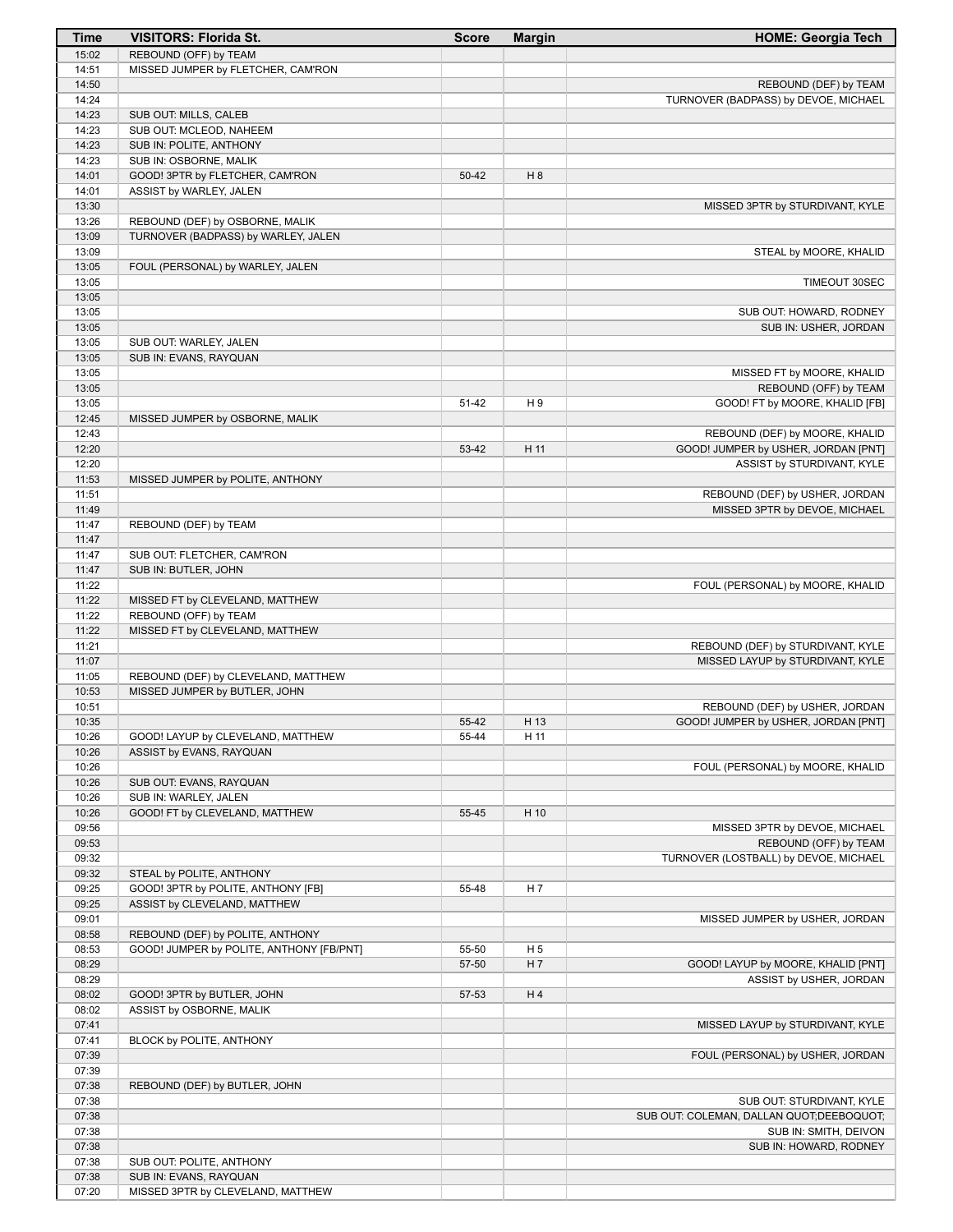| Time           | <b>VISITORS: Florida St.</b>             | <b>Score</b> | <b>Margin</b>  | <b>HOME: Georgia Tech</b>                |
|----------------|------------------------------------------|--------------|----------------|------------------------------------------|
| 15:02          | REBOUND (OFF) by TEAM                    |              |                |                                          |
| 14:51          | MISSED JUMPER by FLETCHER, CAM'RON       |              |                |                                          |
| 14:50          |                                          |              |                | REBOUND (DEF) by TEAM                    |
| 14:24          |                                          |              |                | TURNOVER (BADPASS) by DEVOE, MICHAEL     |
| 14:23          | SUB OUT: MILLS, CALEB                    |              |                |                                          |
| 14:23          | SUB OUT: MCLEOD, NAHEEM                  |              |                |                                          |
| 14:23          | SUB IN: POLITE, ANTHONY                  |              |                |                                          |
| 14:23          | SUB IN: OSBORNE, MALIK                   |              |                |                                          |
| 14:01          | GOOD! 3PTR by FLETCHER, CAM'RON          | $50 - 42$    | H <sub>8</sub> |                                          |
| 14:01          | ASSIST by WARLEY, JALEN                  |              |                |                                          |
| 13:30          |                                          |              |                | MISSED 3PTR by STURDIVANT, KYLE          |
| 13:26          | REBOUND (DEF) by OSBORNE, MALIK          |              |                |                                          |
| 13:09          | TURNOVER (BADPASS) by WARLEY, JALEN      |              |                |                                          |
| 13:09          |                                          |              |                | STEAL by MOORE, KHALID                   |
| 13:05          | FOUL (PERSONAL) by WARLEY, JALEN         |              |                |                                          |
| 13:05          |                                          |              |                | TIMEOUT 30SEC                            |
| 13:05          |                                          |              |                |                                          |
| 13:05          |                                          |              |                | SUB OUT: HOWARD, RODNEY                  |
| 13:05          |                                          |              |                | SUB IN: USHER, JORDAN                    |
| 13:05          | SUB OUT: WARLEY, JALEN                   |              |                |                                          |
| 13:05          | SUB IN: EVANS, RAYQUAN                   |              |                |                                          |
| 13:05          |                                          |              |                | MISSED FT by MOORE, KHALID               |
| 13:05          |                                          |              |                | REBOUND (OFF) by TEAM                    |
| 13:05          |                                          | 51-42        | H9             | GOOD! FT by MOORE, KHALID [FB]           |
| 12:45          | MISSED JUMPER by OSBORNE, MALIK          |              |                |                                          |
| 12:43          |                                          |              |                | REBOUND (DEF) by MOORE, KHALID           |
| 12:20          |                                          | 53-42        | H 11           | GOOD! JUMPER by USHER, JORDAN [PNT]      |
| 12:20          |                                          |              |                | ASSIST by STURDIVANT, KYLE               |
| 11:53          | MISSED JUMPER by POLITE, ANTHONY         |              |                |                                          |
| 11:51          |                                          |              |                | REBOUND (DEF) by USHER, JORDAN           |
| 11:49          |                                          |              |                | MISSED 3PTR by DEVOE, MICHAEL            |
| 11:47<br>11:47 | REBOUND (DEF) by TEAM                    |              |                |                                          |
| 11:47          | SUB OUT: FLETCHER, CAM'RON               |              |                |                                          |
| 11:47          | SUB IN: BUTLER, JOHN                     |              |                |                                          |
| 11:22          |                                          |              |                | FOUL (PERSONAL) by MOORE, KHALID         |
| 11:22          | MISSED FT by CLEVELAND, MATTHEW          |              |                |                                          |
| 11:22          | REBOUND (OFF) by TEAM                    |              |                |                                          |
| 11:22          | MISSED FT by CLEVELAND, MATTHEW          |              |                |                                          |
| 11:21          |                                          |              |                | REBOUND (DEF) by STURDIVANT, KYLE        |
| 11:07          |                                          |              |                | MISSED LAYUP by STURDIVANT, KYLE         |
| 11:05          | REBOUND (DEF) by CLEVELAND, MATTHEW      |              |                |                                          |
| 10:53          | MISSED JUMPER by BUTLER, JOHN            |              |                |                                          |
| 10:51          |                                          |              |                | REBOUND (DEF) by USHER, JORDAN           |
| 10:35          |                                          | 55-42        | H 13           | GOOD! JUMPER by USHER, JORDAN [PNT]      |
| 10:26          | GOOD! LAYUP by CLEVELAND, MATTHEW        | 55-44        | H 11           |                                          |
| 10:26          | ASSIST by EVANS, RAYQUAN                 |              |                |                                          |
| 10:26          |                                          |              |                | FOUL (PERSONAL) by MOORE, KHALID         |
| 10:26          | SUB OUT: EVANS, RAYQUAN                  |              |                |                                          |
| 10:26          | SUB IN: WARLEY, JALEN                    |              |                |                                          |
| 10:26          | GOOD! FT by CLEVELAND, MATTHEW           | 55-45        | H 10           |                                          |
| 09:56          |                                          |              |                | MISSED 3PTR by DEVOE, MICHAEL            |
| 09:53          |                                          |              |                | REBOUND (OFF) by TEAM                    |
| 09:32          |                                          |              |                | TURNOVER (LOSTBALL) by DEVOE, MICHAEL    |
| 09:32          | STEAL by POLITE, ANTHONY                 |              |                |                                          |
| 09:25          | GOOD! 3PTR by POLITE, ANTHONY [FB]       | 55-48        | H 7            |                                          |
| 09:25          | ASSIST by CLEVELAND, MATTHEW             |              |                |                                          |
| 09:01          |                                          |              |                | MISSED JUMPER by USHER, JORDAN           |
| 08:58          | REBOUND (DEF) by POLITE, ANTHONY         |              |                |                                          |
| 08:53          | GOOD! JUMPER by POLITE, ANTHONY [FB/PNT] | 55-50        | H <sub>5</sub> |                                          |
| 08:29          |                                          | 57-50        | H 7            | GOOD! LAYUP by MOORE, KHALID [PNT]       |
| 08:29          |                                          |              |                | ASSIST by USHER, JORDAN                  |
| 08:02          | GOOD! 3PTR by BUTLER, JOHN               | 57-53        | H4             |                                          |
| 08:02          | ASSIST by OSBORNE, MALIK                 |              |                |                                          |
| 07:41          |                                          |              |                | MISSED LAYUP by STURDIVANT, KYLE         |
| 07:41          | BLOCK by POLITE, ANTHONY                 |              |                |                                          |
| 07:39          |                                          |              |                | FOUL (PERSONAL) by USHER, JORDAN         |
| 07:39          |                                          |              |                |                                          |
| 07:38          | REBOUND (DEF) by BUTLER, JOHN            |              |                |                                          |
| 07:38          |                                          |              |                | SUB OUT: STURDIVANT, KYLE                |
| 07:38          |                                          |              |                | SUB OUT: COLEMAN, DALLAN QUOT;DEEBOQUOT; |
| 07:38          |                                          |              |                | SUB IN: SMITH, DEIVON                    |
| 07:38          |                                          |              |                | SUB IN: HOWARD, RODNEY                   |
| 07:38          | SUB OUT: POLITE, ANTHONY                 |              |                |                                          |
| 07:38          | SUB IN: EVANS, RAYQUAN                   |              |                |                                          |
| 07:20          | MISSED 3PTR by CLEVELAND, MATTHEW        |              |                |                                          |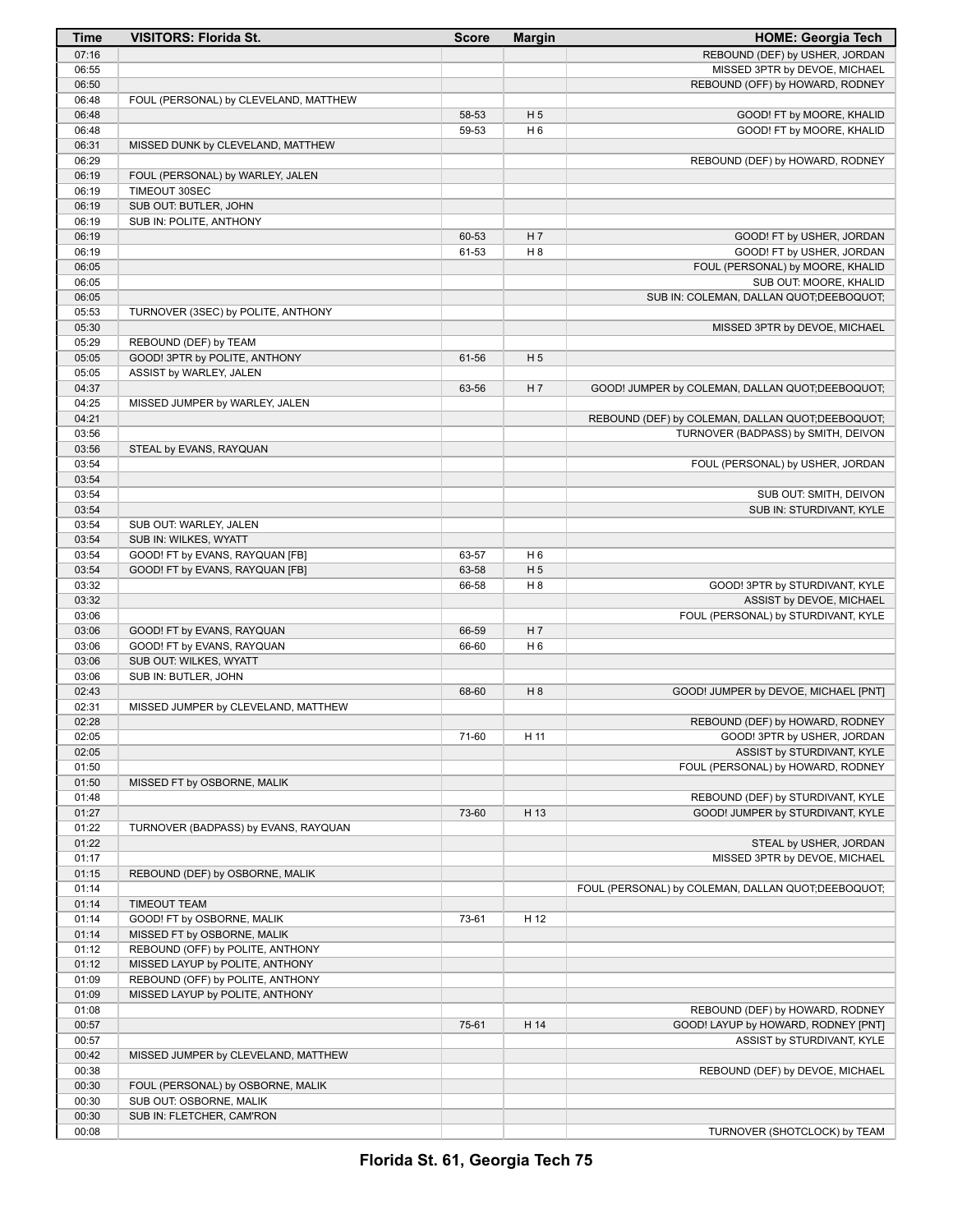| Time  | <b>VISITORS: Florida St.</b>          | <b>Score</b> | <b>Margin</b>  | <b>HOME: Georgia Tech</b>                          |
|-------|---------------------------------------|--------------|----------------|----------------------------------------------------|
| 07:16 |                                       |              |                | REBOUND (DEF) by USHER, JORDAN                     |
| 06:55 |                                       |              |                | MISSED 3PTR by DEVOE, MICHAEL                      |
| 06:50 |                                       |              |                | REBOUND (OFF) by HOWARD, RODNEY                    |
| 06:48 | FOUL (PERSONAL) by CLEVELAND, MATTHEW |              |                |                                                    |
| 06:48 |                                       | 58-53        | H <sub>5</sub> | GOOD! FT by MOORE, KHALID                          |
| 06:48 |                                       | 59-53        | H <sub>6</sub> | GOOD! FT by MOORE, KHALID                          |
| 06:31 | MISSED DUNK by CLEVELAND, MATTHEW     |              |                |                                                    |
| 06:29 |                                       |              |                | REBOUND (DEF) by HOWARD, RODNEY                    |
| 06:19 | FOUL (PERSONAL) by WARLEY, JALEN      |              |                |                                                    |
| 06:19 | TIMEOUT 30SEC                         |              |                |                                                    |
| 06:19 | SUB OUT: BUTLER, JOHN                 |              |                |                                                    |
| 06:19 | SUB IN: POLITE, ANTHONY               |              |                |                                                    |
| 06:19 |                                       | 60-53        | H 7            | GOOD! FT by USHER, JORDAN                          |
| 06:19 |                                       | 61-53        | H 8            | GOOD! FT by USHER, JORDAN                          |
| 06:05 |                                       |              |                | FOUL (PERSONAL) by MOORE, KHALID                   |
| 06:05 |                                       |              |                | SUB OUT: MOORE, KHALID                             |
| 06:05 |                                       |              |                | SUB IN: COLEMAN, DALLAN QUOT;DEEBOQUOT;            |
| 05:53 | TURNOVER (3SEC) by POLITE, ANTHONY    |              |                |                                                    |
| 05:30 |                                       |              |                | MISSED 3PTR by DEVOE, MICHAEL                      |
| 05:29 | REBOUND (DEF) by TEAM                 |              |                |                                                    |
| 05:05 | GOOD! 3PTR by POLITE, ANTHONY         | 61-56        | H <sub>5</sub> |                                                    |
| 05:05 | ASSIST by WARLEY, JALEN               |              |                |                                                    |
| 04:37 |                                       | 63-56        | H <sub>7</sub> | GOOD! JUMPER by COLEMAN, DALLAN QUOT;DEEBOQUOT;    |
| 04:25 | MISSED JUMPER by WARLEY, JALEN        |              |                |                                                    |
| 04:21 |                                       |              |                | REBOUND (DEF) by COLEMAN, DALLAN QUOT;DEEBOQUOT;   |
| 03:56 |                                       |              |                | TURNOVER (BADPASS) by SMITH, DEIVON                |
| 03:56 | STEAL by EVANS, RAYQUAN               |              |                |                                                    |
| 03:54 |                                       |              |                | FOUL (PERSONAL) by USHER, JORDAN                   |
| 03:54 |                                       |              |                |                                                    |
| 03:54 |                                       |              |                | SUB OUT: SMITH, DEIVON                             |
| 03:54 |                                       |              |                | SUB IN: STURDIVANT, KYLE                           |
| 03:54 | SUB OUT: WARLEY, JALEN                |              |                |                                                    |
| 03:54 | SUB IN: WILKES, WYATT                 |              |                |                                                    |
| 03:54 | GOOD! FT by EVANS, RAYQUAN [FB]       | 63-57        | H <sub>6</sub> |                                                    |
| 03:54 | GOOD! FT by EVANS, RAYQUAN [FB]       | 63-58        | H <sub>5</sub> |                                                    |
| 03:32 |                                       | 66-58        | H 8            | GOOD! 3PTR by STURDIVANT, KYLE                     |
| 03:32 |                                       |              |                | ASSIST by DEVOE, MICHAEL                           |
| 03:06 |                                       |              |                | FOUL (PERSONAL) by STURDIVANT, KYLE                |
| 03:06 | GOOD! FT by EVANS, RAYQUAN            | 66-59        | H 7            |                                                    |
| 03:06 | GOOD! FT by EVANS, RAYQUAN            | 66-60        | H <sub>6</sub> |                                                    |
| 03:06 | SUB OUT: WILKES, WYATT                |              |                |                                                    |
| 03:06 | SUB IN: BUTLER, JOHN                  |              |                |                                                    |
| 02:43 |                                       | 68-60        | H 8            | GOOD! JUMPER by DEVOE, MICHAEL [PNT]               |
| 02:31 | MISSED JUMPER by CLEVELAND, MATTHEW   |              |                |                                                    |
| 02:28 |                                       |              |                | REBOUND (DEF) by HOWARD, RODNEY                    |
| 02:05 |                                       | 71-60        | H 11           | GOOD! 3PTR by USHER, JORDAN                        |
| 02:05 |                                       |              |                | ASSIST by STURDIVANT, KYLE                         |
| 01:50 |                                       |              |                | FOUL (PERSONAL) by HOWARD, RODNEY                  |
| 01:50 | MISSED FT by OSBORNE, MALIK           |              |                |                                                    |
| 01:48 |                                       |              |                | REBOUND (DEF) by STURDIVANT, KYLE                  |
| 01:27 |                                       | 73-60        | H 13           | GOOD! JUMPER by STURDIVANT, KYLE                   |
| 01:22 | TURNOVER (BADPASS) by EVANS, RAYQUAN  |              |                |                                                    |
| 01:22 |                                       |              |                | STEAL by USHER, JORDAN                             |
| 01:17 |                                       |              |                | MISSED 3PTR by DEVOE, MICHAEL                      |
| 01:15 | REBOUND (DEF) by OSBORNE, MALIK       |              |                |                                                    |
| 01:14 |                                       |              |                | FOUL (PERSONAL) by COLEMAN, DALLAN QUOT;DEEBOQUOT; |
| 01:14 | <b>TIMEOUT TEAM</b>                   |              |                |                                                    |
| 01:14 | GOOD! FT by OSBORNE, MALIK            | 73-61        | H 12           |                                                    |
| 01:14 | MISSED FT by OSBORNE, MALIK           |              |                |                                                    |
| 01:12 | REBOUND (OFF) by POLITE, ANTHONY      |              |                |                                                    |
| 01:12 | MISSED LAYUP by POLITE, ANTHONY       |              |                |                                                    |
| 01:09 | REBOUND (OFF) by POLITE, ANTHONY      |              |                |                                                    |
| 01:09 | MISSED LAYUP by POLITE, ANTHONY       |              |                |                                                    |
| 01:08 |                                       |              |                | REBOUND (DEF) by HOWARD, RODNEY                    |
| 00:57 |                                       | 75-61        | H 14           | GOOD! LAYUP by HOWARD, RODNEY [PNT]                |
| 00:57 |                                       |              |                | ASSIST by STURDIVANT, KYLE                         |
| 00:42 | MISSED JUMPER by CLEVELAND, MATTHEW   |              |                |                                                    |
| 00:38 |                                       |              |                | REBOUND (DEF) by DEVOE, MICHAEL                    |
| 00:30 | FOUL (PERSONAL) by OSBORNE, MALIK     |              |                |                                                    |
| 00:30 | SUB OUT: OSBORNE, MALIK               |              |                |                                                    |
| 00:30 | SUB IN: FLETCHER, CAM'RON             |              |                |                                                    |
| 00:08 |                                       |              |                | TURNOVER (SHOTCLOCK) by TEAM                       |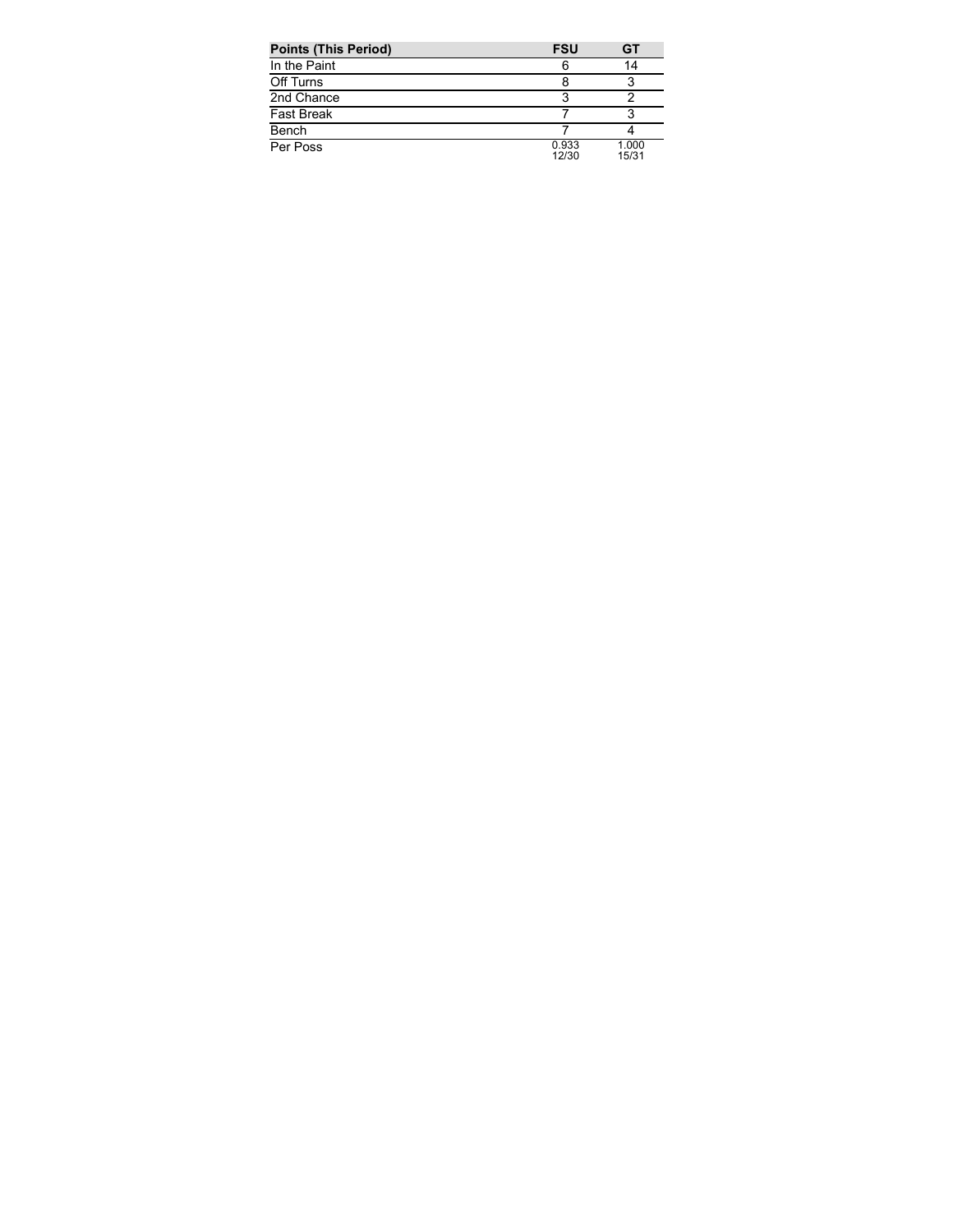| <b>Points (This Period)</b> | <b>FSU</b>     | GТ             |
|-----------------------------|----------------|----------------|
| In the Paint                |                | 14             |
| Off Turns                   |                |                |
| 2nd Chance                  |                |                |
| <b>Fast Break</b>           |                |                |
| Bench                       |                |                |
| Per Poss                    | 0.933<br>12/30 | 1.000<br>15/31 |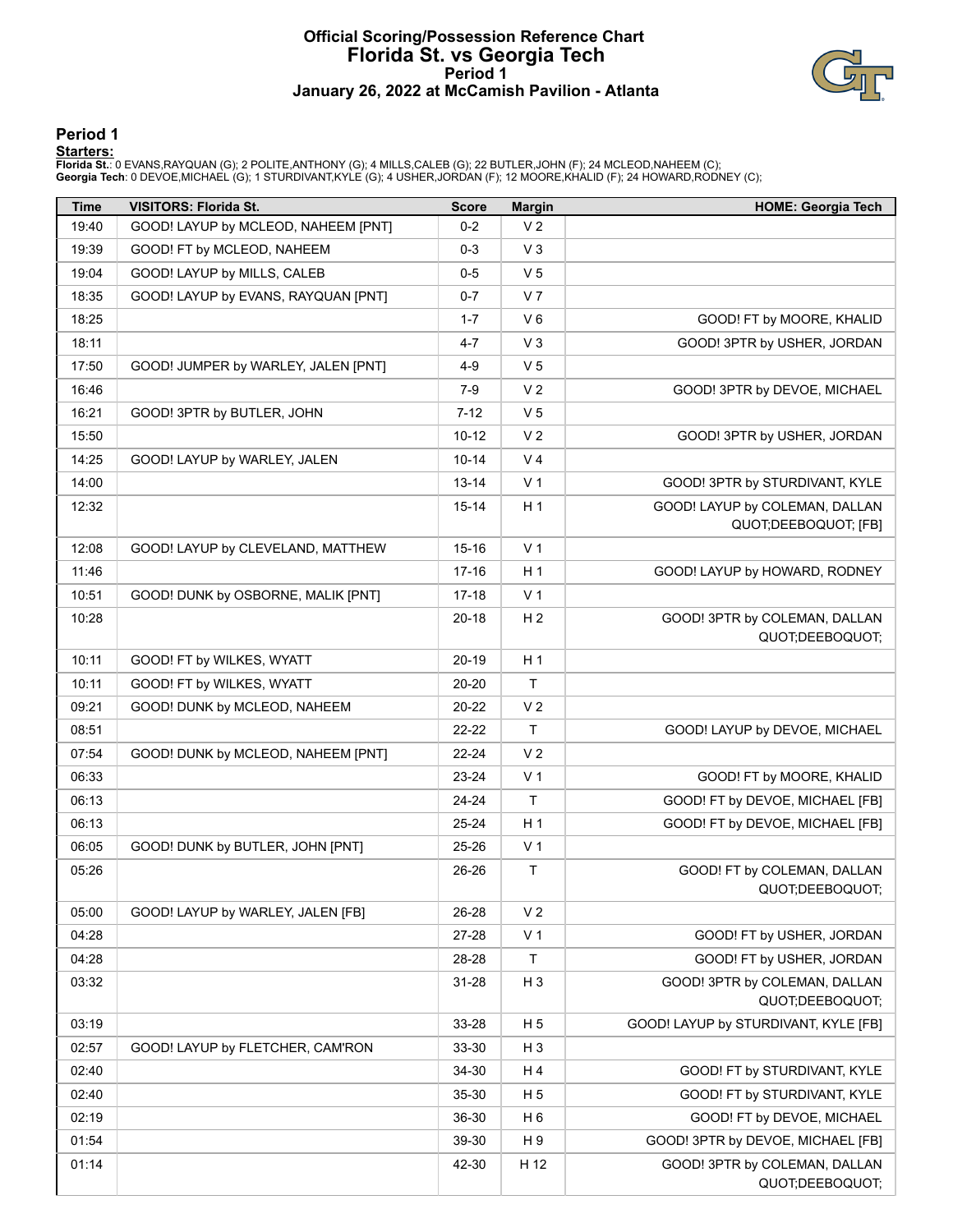# **Official Scoring/Possession Reference Chart Florida St. vs Georgia Tech Period 1 January 26, 2022 at McCamish Pavilion - Atlanta**



**Period 1**

<mark>Startersː</mark><br>Florida St.: 0 EVANS,RAYQUAN (G); 2 POLITE,ANTHONY (G); 4 MILLS,CALEB (G); 22 BUTLER,JOHN (F); 24 MCLEOD,NAHEEM (C);<br>Georgia Tech: 0 DEVOE,MICHAEL (G); 1 STURDIVANT,KYLE (G); 4 USHER,JORDAN (F); 12 MOORE,KHALID

| <b>Time</b> | <b>VISITORS: Florida St.</b>        | <b>Score</b> | <b>Margin</b>  | <b>HOME: Georgia Tech</b>                              |
|-------------|-------------------------------------|--------------|----------------|--------------------------------------------------------|
| 19:40       | GOOD! LAYUP by MCLEOD, NAHEEM [PNT] | $0 - 2$      | V <sub>2</sub> |                                                        |
| 19:39       | GOOD! FT by MCLEOD, NAHEEM          | $0-3$        | V3             |                                                        |
| 19:04       | GOOD! LAYUP by MILLS, CALEB         | $0-5$        | V <sub>5</sub> |                                                        |
| 18:35       | GOOD! LAYUP by EVANS, RAYQUAN [PNT] | $0 - 7$      | V <sub>7</sub> |                                                        |
| 18:25       |                                     | $1 - 7$      | $V_6$          | GOOD! FT by MOORE, KHALID                              |
| 18:11       |                                     | 4-7          | V <sub>3</sub> | GOOD! 3PTR by USHER, JORDAN                            |
| 17:50       | GOOD! JUMPER by WARLEY, JALEN [PNT] | $4 - 9$      | V <sub>5</sub> |                                                        |
| 16:46       |                                     | $7-9$        | V <sub>2</sub> | GOOD! 3PTR by DEVOE, MICHAEL                           |
| 16:21       | GOOD! 3PTR by BUTLER, JOHN          | $7 - 12$     | V <sub>5</sub> |                                                        |
| 15:50       |                                     | 10-12        | V <sub>2</sub> | GOOD! 3PTR by USHER, JORDAN                            |
| 14:25       | GOOD! LAYUP by WARLEY, JALEN        | 10-14        | V <sub>4</sub> |                                                        |
| 14:00       |                                     | 13-14        | V <sub>1</sub> | GOOD! 3PTR by STURDIVANT, KYLE                         |
| 12:32       |                                     | $15 - 14$    | H 1            | GOOD! LAYUP by COLEMAN, DALLAN<br>QUOT;DEEBOQUOT; [FB] |
| 12:08       | GOOD! LAYUP by CLEVELAND, MATTHEW   | 15-16        | V <sub>1</sub> |                                                        |
| 11:46       |                                     | 17-16        | H <sub>1</sub> | GOOD! LAYUP by HOWARD, RODNEY                          |
| 10:51       | GOOD! DUNK by OSBORNE, MALIK [PNT]  | 17-18        | V <sub>1</sub> |                                                        |
| 10:28       |                                     | 20-18        | H 2            | GOOD! 3PTR by COLEMAN, DALLAN<br>QUOT;DEEBOQUOT;       |
| 10:11       | GOOD! FT by WILKES, WYATT           | 20-19        | H 1            |                                                        |
| 10:11       | GOOD! FT by WILKES, WYATT           | 20-20        | T              |                                                        |
| 09:21       | GOOD! DUNK by MCLEOD, NAHEEM        | 20-22        | V <sub>2</sub> |                                                        |
| 08:51       |                                     | 22-22        | T              | GOOD! LAYUP by DEVOE, MICHAEL                          |
| 07:54       | GOOD! DUNK by MCLEOD, NAHEEM [PNT]  | 22-24        | V 2            |                                                        |
| 06:33       |                                     | 23-24        | V <sub>1</sub> | GOOD! FT by MOORE, KHALID                              |
| 06:13       |                                     | 24-24        | Τ              | GOOD! FT by DEVOE, MICHAEL [FB]                        |
| 06:13       |                                     | 25-24        | H <sub>1</sub> | GOOD! FT by DEVOE, MICHAEL [FB]                        |
| 06:05       | GOOD! DUNK by BUTLER, JOHN [PNT]    | 25-26        | V <sub>1</sub> |                                                        |
| 05:26       |                                     | 26-26        | $\mathsf{T}$   | GOOD! FT by COLEMAN, DALLAN<br>QUOT;DEEBOQUOT;         |
| 05:00       | GOOD! LAYUP by WARLEY, JALEN [FB]   | 26-28        | V <sub>2</sub> |                                                        |
| 04:28       |                                     | 27-28        | V <sub>1</sub> | GOOD! FT by USHER, JORDAN                              |
| 04:28       |                                     | 28-28        | Τ              | GOOD! FT by USHER, JORDAN                              |
| 03:32       |                                     | 31-28        | $H_3$          | GOOD! 3PTR by COLEMAN, DALLAN<br>QUOT;DEEBOQUOT;       |
| 03:19       |                                     | 33-28        | H 5            | GOOD! LAYUP by STURDIVANT, KYLE [FB]                   |
| 02:57       | GOOD! LAYUP by FLETCHER, CAM'RON    | 33-30        | H <sub>3</sub> |                                                        |
| 02:40       |                                     | 34-30        | H 4            | GOOD! FT by STURDIVANT, KYLE                           |
| 02:40       |                                     | 35-30        | H <sub>5</sub> | GOOD! FT by STURDIVANT, KYLE                           |
| 02:19       |                                     | 36-30        | H 6            | GOOD! FT by DEVOE, MICHAEL                             |
| 01:54       |                                     | 39-30        | H 9            | GOOD! 3PTR by DEVOE, MICHAEL [FB]                      |
| 01:14       |                                     | 42-30        | H 12           | GOOD! 3PTR by COLEMAN, DALLAN                          |
|             |                                     |              |                | QUOT;DEEBOQUOT;                                        |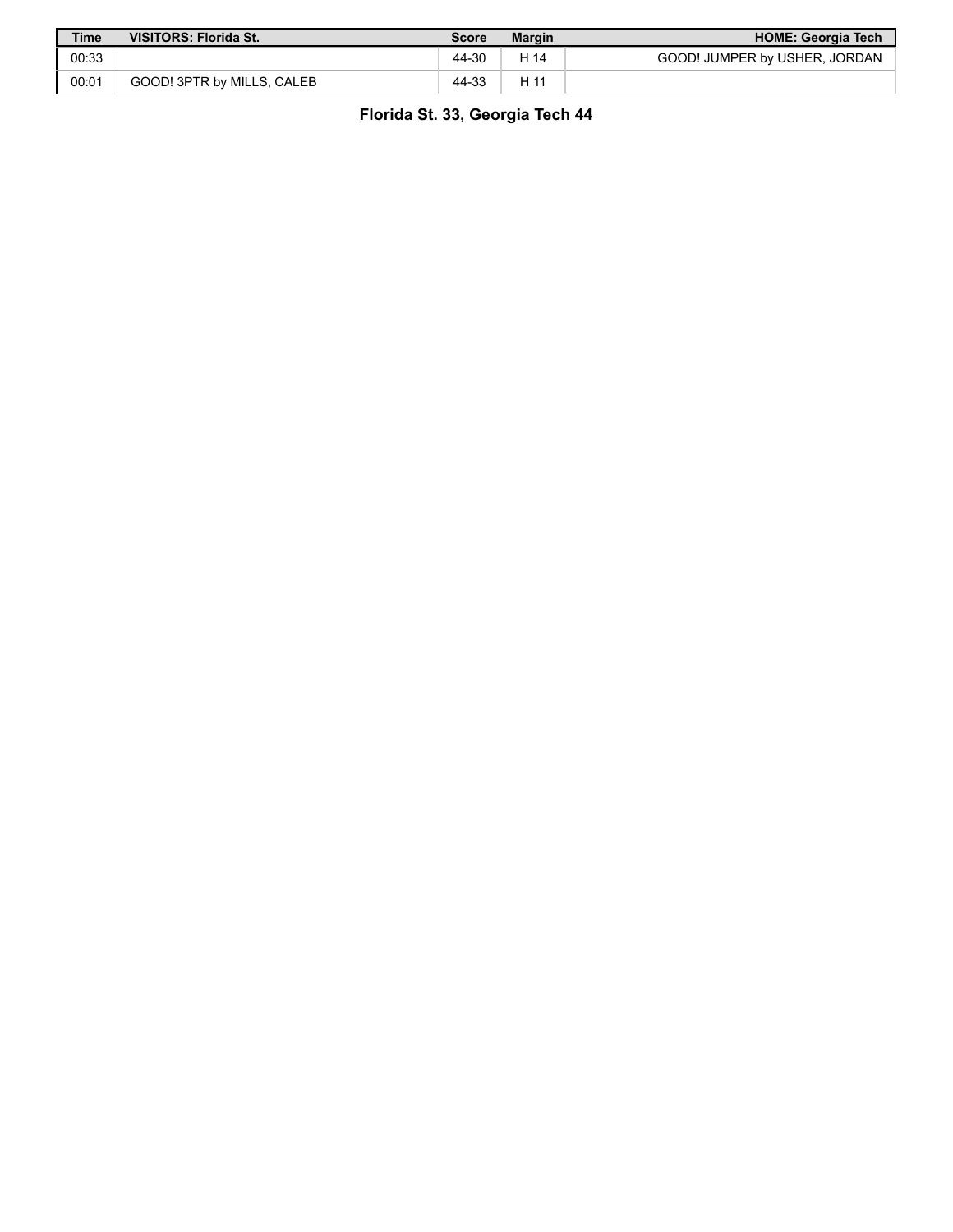| <b>Time</b> | <b>VISITORS: Florida St.</b> | Score | <b>Margin</b> | <b>HOME: Georgia Tech</b>     |
|-------------|------------------------------|-------|---------------|-------------------------------|
| 00:33       |                              | 44-30 | H 14          | GOOD! JUMPER by USHER, JORDAN |
| 00:01       | GOOD! 3PTR by MILLS, CALEB   | 44-33 | H 11          |                               |

**Florida St. 33, Georgia Tech 44**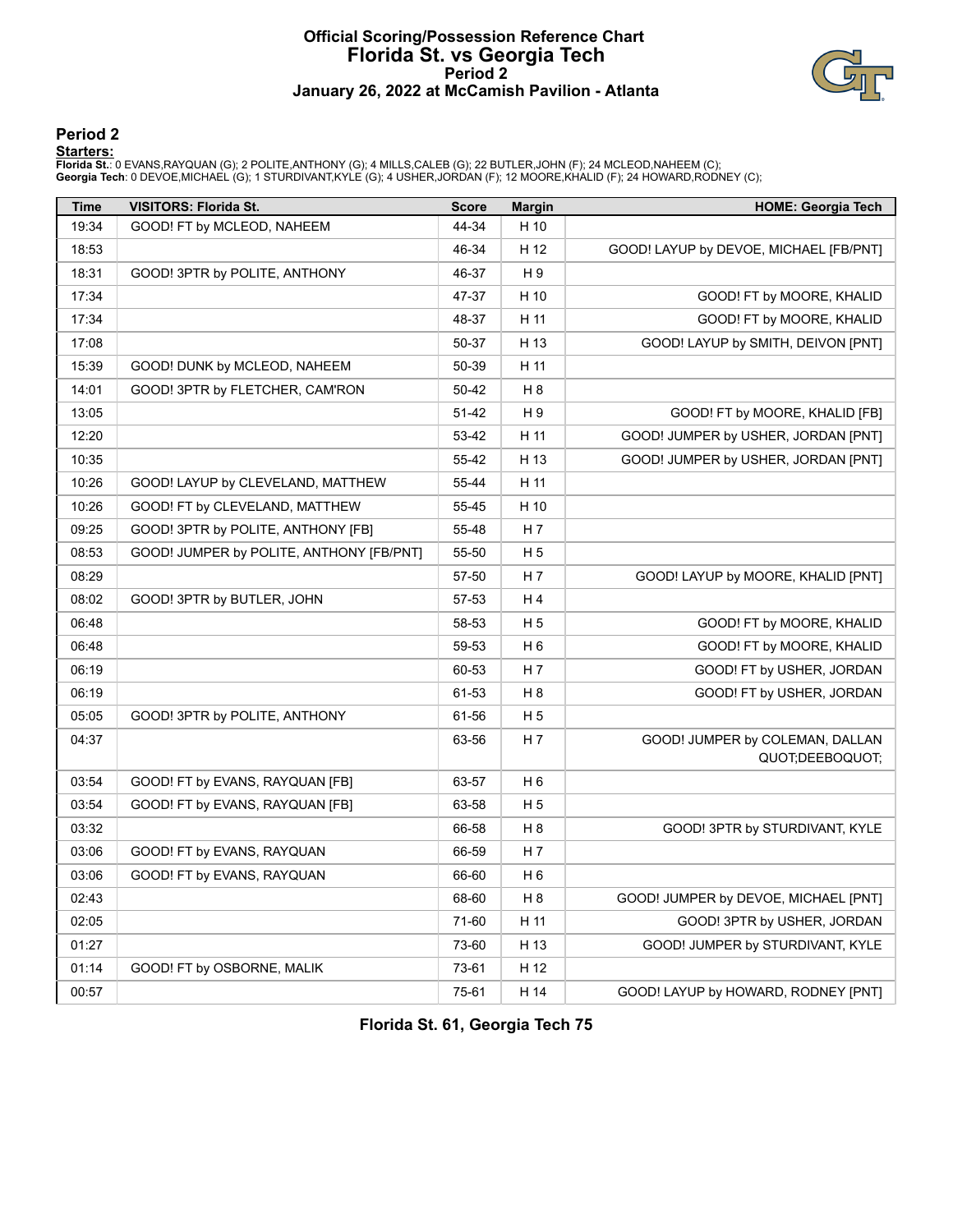# **Official Scoring/Possession Reference Chart Florida St. vs Georgia Tech Period 2 January 26, 2022 at McCamish Pavilion - Atlanta**



### **Period 2**

<mark>Startersː</mark><br>Florida St.: 0 EVANS,RAYQUAN (G); 2 POLITE,ANTHONY (G); 4 MILLS,CALEB (G); 22 BUTLER,JOHN (F); 24 MCLEOD,NAHEEM (C);<br>Georgia Tech: 0 DEVOE,MICHAEL (G); 1 STURDIVANT,KYLE (G); 4 USHER,JORDAN (F); 12 MOORE,KHALID

| <b>Time</b> | <b>VISITORS: Florida St.</b>             | <b>Score</b> | <b>Margin</b>  | <b>HOME: Georgia Tech</b>                          |
|-------------|------------------------------------------|--------------|----------------|----------------------------------------------------|
| 19:34       | GOOD! FT by MCLEOD, NAHEEM               | 44-34        | H 10           |                                                    |
| 18:53       |                                          | 46-34        | H 12           | GOOD! LAYUP by DEVOE, MICHAEL [FB/PNT]             |
| 18:31       | GOOD! 3PTR by POLITE, ANTHONY            | 46-37        | H 9            |                                                    |
| 17:34       |                                          | 47-37        | H 10           | GOOD! FT by MOORE, KHALID                          |
| 17:34       |                                          | 48-37        | H 11           | GOOD! FT by MOORE, KHALID                          |
| 17:08       |                                          | 50-37        | H 13           | GOOD! LAYUP by SMITH, DEIVON [PNT]                 |
| 15:39       | GOOD! DUNK by MCLEOD, NAHEEM             | 50-39        | H 11           |                                                    |
| 14:01       | GOOD! 3PTR by FLETCHER, CAM'RON          | 50-42        | H <sub>8</sub> |                                                    |
| 13:05       |                                          | 51-42        | H 9            | GOOD! FT by MOORE, KHALID [FB]                     |
| 12:20       |                                          | 53-42        | H 11           | GOOD! JUMPER by USHER, JORDAN [PNT]                |
| 10:35       |                                          | 55-42        | H 13           | GOOD! JUMPER by USHER, JORDAN [PNT]                |
| 10:26       | GOOD! LAYUP by CLEVELAND, MATTHEW        | 55-44        | H 11           |                                                    |
| 10:26       | GOOD! FT by CLEVELAND, MATTHEW           | 55-45        | H 10           |                                                    |
| 09:25       | GOOD! 3PTR by POLITE, ANTHONY [FB]       | 55-48        | H 7            |                                                    |
| 08:53       | GOOD! JUMPER by POLITE, ANTHONY [FB/PNT] | 55-50        | H 5            |                                                    |
| 08:29       |                                          | 57-50        | H <sub>7</sub> | GOOD! LAYUP by MOORE, KHALID [PNT]                 |
| 08:02       | GOOD! 3PTR by BUTLER, JOHN               | 57-53        | H 4            |                                                    |
| 06:48       |                                          | 58-53        | H <sub>5</sub> | GOOD! FT by MOORE, KHALID                          |
| 06:48       |                                          | 59-53        | H 6            | GOOD! FT by MOORE, KHALID                          |
| 06:19       |                                          | 60-53        | H 7            | GOOD! FT by USHER, JORDAN                          |
| 06:19       |                                          | 61-53        | H8             | GOOD! FT by USHER, JORDAN                          |
| 05:05       | GOOD! 3PTR by POLITE, ANTHONY            | 61-56        | H <sub>5</sub> |                                                    |
| 04:37       |                                          | 63-56        | H 7            | GOOD! JUMPER by COLEMAN, DALLAN<br>QUOT;DEEBOQUOT; |
| 03:54       | GOOD! FT by EVANS, RAYQUAN [FB]          | 63-57        | H <sub>6</sub> |                                                    |
| 03:54       | GOOD! FT by EVANS, RAYQUAN [FB]          | 63-58        | H <sub>5</sub> |                                                    |
| 03:32       |                                          | 66-58        | H <sub>8</sub> | GOOD! 3PTR by STURDIVANT, KYLE                     |
| 03:06       | GOOD! FT by EVANS, RAYQUAN               | 66-59        | H 7            |                                                    |
| 03:06       | GOOD! FT by EVANS, RAYQUAN               | 66-60        | H 6            |                                                    |
| 02:43       |                                          | 68-60        | H <sub>8</sub> | GOOD! JUMPER by DEVOE, MICHAEL [PNT]               |
| 02:05       |                                          | 71-60        | H 11           | GOOD! 3PTR by USHER, JORDAN                        |
| 01:27       |                                          | 73-60        | H 13           | GOOD! JUMPER by STURDIVANT, KYLE                   |
| 01:14       | GOOD! FT by OSBORNE, MALIK               | 73-61        | H 12           |                                                    |
| 00:57       |                                          | 75-61        | H 14           | GOOD! LAYUP by HOWARD, RODNEY [PNT]                |

**Florida St. 61, Georgia Tech 75**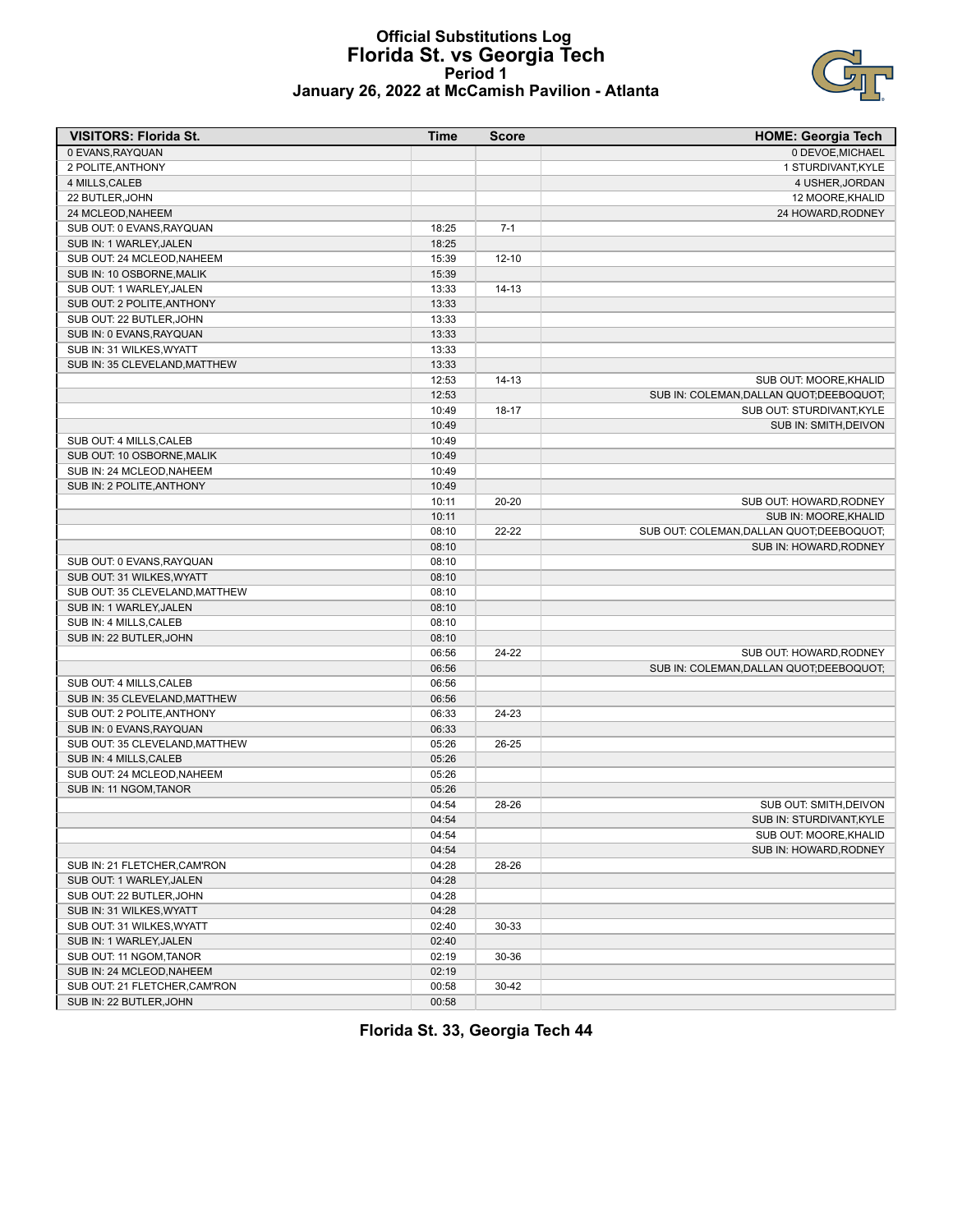### **Official Substitutions Log Florida St. vs Georgia Tech Period 1 January 26, 2022 at McCamish Pavilion - Atlanta**



| <b>VISITORS: Florida St.</b>   | Time  | <b>Score</b> | <b>HOME: Georgia Tech</b>                 |
|--------------------------------|-------|--------------|-------------------------------------------|
| 0 EVANS, RAYQUAN               |       |              | 0 DEVOE, MICHAEL                          |
| 2 POLITE, ANTHONY              |       |              | 1 STURDIVANT, KYLE                        |
| 4 MILLS, CALEB                 |       |              | 4 USHER, JORDAN                           |
| 22 BUTLER, JOHN                |       |              | 12 MOORE, KHALID                          |
| 24 MCLEOD, NAHEEM              |       |              | 24 HOWARD, RODNEY                         |
| SUB OUT: 0 EVANS, RAYQUAN      | 18:25 | $7-1$        |                                           |
| SUB IN: 1 WARLEY, JALEN        | 18:25 |              |                                           |
| SUB OUT: 24 MCLEOD, NAHEEM     | 15:39 | $12 - 10$    |                                           |
| SUB IN: 10 OSBORNE, MALIK      | 15:39 |              |                                           |
| SUB OUT: 1 WARLEY, JALEN       | 13:33 | $14 - 13$    |                                           |
| SUB OUT: 2 POLITE, ANTHONY     | 13:33 |              |                                           |
| SUB OUT: 22 BUTLER, JOHN       | 13:33 |              |                                           |
| SUB IN: 0 EVANS, RAYQUAN       | 13:33 |              |                                           |
| SUB IN: 31 WILKES, WYATT       | 13:33 |              |                                           |
| SUB IN: 35 CLEVELAND, MATTHEW  | 13:33 |              |                                           |
|                                | 12:53 | $14 - 13$    | SUB OUT: MOORE, KHALID                    |
|                                | 12:53 |              | SUB IN: COLEMAN, DALLAN QUOT; DEEBOQUOT;  |
|                                | 10:49 | $18 - 17$    | SUB OUT: STURDIVANT, KYLE                 |
|                                | 10:49 |              | SUB IN: SMITH, DEIVON                     |
| SUB OUT: 4 MILLS, CALEB        | 10:49 |              |                                           |
| SUB OUT: 10 OSBORNE, MALIK     | 10:49 |              |                                           |
| SUB IN: 24 MCLEOD, NAHEEM      | 10:49 |              |                                           |
| SUB IN: 2 POLITE, ANTHONY      | 10:49 |              |                                           |
|                                | 10:11 | $20 - 20$    | SUB OUT: HOWARD, RODNEY                   |
|                                | 10:11 |              | SUB IN: MOORE, KHALID                     |
|                                | 08:10 | 22-22        | SUB OUT: COLEMAN, DALLAN QUOT; DEEBOQUOT; |
|                                | 08:10 |              | SUB IN: HOWARD, RODNEY                    |
| SUB OUT: 0 EVANS, RAYQUAN      | 08:10 |              |                                           |
| SUB OUT: 31 WILKES, WYATT      | 08:10 |              |                                           |
| SUB OUT: 35 CLEVELAND, MATTHEW | 08:10 |              |                                           |
| SUB IN: 1 WARLEY, JALEN        | 08:10 |              |                                           |
| SUB IN: 4 MILLS, CALEB         | 08:10 |              |                                           |
| SUB IN: 22 BUTLER, JOHN        | 08:10 |              |                                           |
|                                | 06:56 | 24-22        | SUB OUT: HOWARD, RODNEY                   |
|                                | 06:56 |              | SUB IN: COLEMAN, DALLAN QUOT; DEEBOQUOT;  |
| SUB OUT: 4 MILLS, CALEB        | 06:56 |              |                                           |
| SUB IN: 35 CLEVELAND, MATTHEW  | 06:56 |              |                                           |
| SUB OUT: 2 POLITE, ANTHONY     | 06:33 | 24-23        |                                           |
| SUB IN: 0 EVANS, RAYQUAN       | 06:33 |              |                                           |
| SUB OUT: 35 CLEVELAND, MATTHEW | 05:26 | 26-25        |                                           |
| SUB IN: 4 MILLS, CALEB         | 05:26 |              |                                           |
| SUB OUT: 24 MCLEOD, NAHEEM     | 05:26 |              |                                           |
| SUB IN: 11 NGOM, TANOR         | 05:26 |              |                                           |
|                                | 04:54 | 28-26        | SUB OUT: SMITH, DEIVON                    |
|                                | 04:54 |              | SUB IN: STURDIVANT, KYLE                  |
|                                | 04:54 |              | SUB OUT: MOORE, KHALID                    |
|                                | 04:54 |              | SUB IN: HOWARD, RODNEY                    |
| SUB IN: 21 FLETCHER, CAM'RON   | 04:28 | 28-26        |                                           |
| SUB OUT: 1 WARLEY, JALEN       | 04:28 |              |                                           |
| SUB OUT: 22 BUTLER, JOHN       | 04:28 |              |                                           |
| SUB IN: 31 WILKES, WYATT       | 04:28 |              |                                           |
| SUB OUT: 31 WILKES, WYATT      | 02:40 | 30-33        |                                           |
| SUB IN: 1 WARLEY, JALEN        | 02:40 |              |                                           |
| SUB OUT: 11 NGOM, TANOR        | 02:19 | 30-36        |                                           |
| SUB IN: 24 MCLEOD, NAHEEM      | 02:19 |              |                                           |
| SUB OUT: 21 FLETCHER, CAM'RON  | 00:58 | 30-42        |                                           |
| SUB IN: 22 BUTLER, JOHN        | 00:58 |              |                                           |
|                                |       |              |                                           |

**Florida St. 33, Georgia Tech 44**